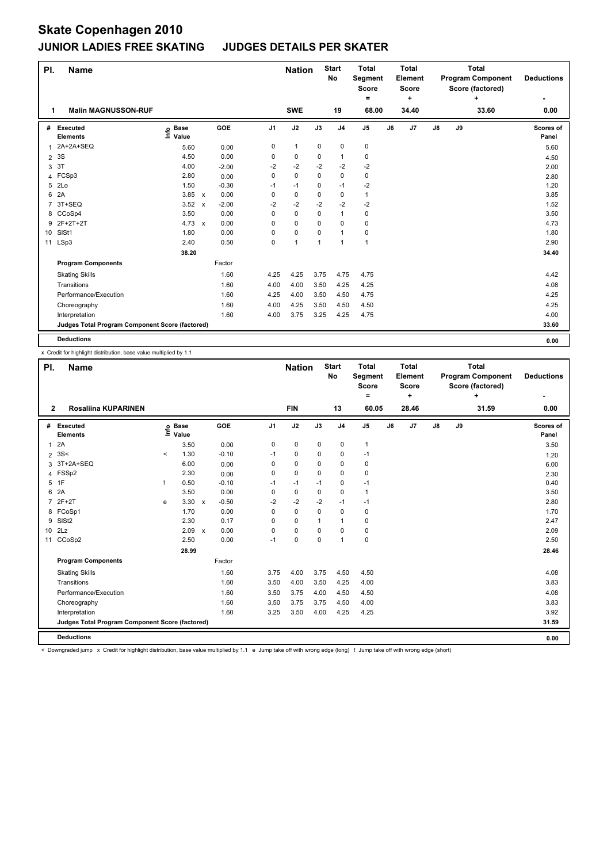| PI.            | <b>Name</b>                                     |                            |                           |         |                | <b>Nation</b> |              | <b>Start</b><br>No | <b>Total</b><br>Segment<br><b>Score</b><br>= |    | <b>Total</b><br>Element<br>Score<br>٠ |               |    | <b>Total</b><br><b>Program Component</b><br>Score (factored)<br>٠ | <b>Deductions</b>  |
|----------------|-------------------------------------------------|----------------------------|---------------------------|---------|----------------|---------------|--------------|--------------------|----------------------------------------------|----|---------------------------------------|---------------|----|-------------------------------------------------------------------|--------------------|
| 1              | <b>Malin MAGNUSSON-RUF</b>                      |                            |                           |         |                | <b>SWE</b>    |              | 19                 | 68.00                                        |    | 34.40                                 |               |    | 33.60                                                             | 0.00               |
| #              | Executed<br><b>Elements</b>                     | <b>Base</b><br>۴ô<br>Value |                           | GOE     | J <sub>1</sub> | J2            | J3           | J <sub>4</sub>     | J <sub>5</sub>                               | J6 | J <sub>7</sub>                        | $\mathsf{J}8$ | J9 |                                                                   | Scores of<br>Panel |
| 1              | 2A+2A+SEQ                                       | 5.60                       |                           | 0.00    | 0              | $\mathbf{1}$  | 0            | 0                  | 0                                            |    |                                       |               |    |                                                                   | 5.60               |
| $\overline{2}$ | 3S                                              | 4.50                       |                           | 0.00    | 0              | 0             | 0            | 1                  | 0                                            |    |                                       |               |    |                                                                   | 4.50               |
| 3              | 3T                                              | 4.00                       |                           | $-2.00$ | $-2$           | $-2$          | $-2$         | $-2$               | $-2$                                         |    |                                       |               |    |                                                                   | 2.00               |
|                | 4 FCSp3                                         | 2.80                       |                           | 0.00    | 0              | $\mathbf 0$   | $\Omega$     | 0                  | $\mathbf 0$                                  |    |                                       |               |    |                                                                   | 2.80               |
| 5              | 2Lo                                             | 1.50                       |                           | $-0.30$ | $-1$           | $-1$          | 0            | $-1$               | $-2$                                         |    |                                       |               |    |                                                                   | 1.20               |
| 6              | 2A                                              | 3.85 x                     |                           | 0.00    | 0              | 0             | 0            | 0                  | $\mathbf{1}$                                 |    |                                       |               |    |                                                                   | 3.85               |
| 7              | 3T+SEQ                                          | 3.52                       | $\boldsymbol{\mathsf{x}}$ | $-2.00$ | $-2$           | $-2$          | $-2$         | $-2$               | $-2$                                         |    |                                       |               |    |                                                                   | 1.52               |
|                | 8 CCoSp4                                        | 3.50                       |                           | 0.00    | 0              | 0             | 0            | 1                  | $\mathbf 0$                                  |    |                                       |               |    |                                                                   | 3.50               |
|                | 9 2F+2T+2T                                      | 4.73 $\times$              |                           | 0.00    | 0              | 0             | 0            | $\mathbf 0$        | $\mathbf 0$                                  |    |                                       |               |    |                                                                   | 4.73               |
|                | 10 SISt1                                        | 1.80                       |                           | 0.00    | 0              | 0             | 0            | 1                  | $\pmb{0}$                                    |    |                                       |               |    |                                                                   | 1.80               |
|                | 11 LSp3                                         | 2.40                       |                           | 0.50    | 0              | $\mathbf{1}$  | $\mathbf{1}$ | 1                  | $\overline{1}$                               |    |                                       |               |    |                                                                   | 2.90               |
|                |                                                 | 38.20                      |                           |         |                |               |              |                    |                                              |    |                                       |               |    |                                                                   | 34.40              |
|                | <b>Program Components</b>                       |                            |                           | Factor  |                |               |              |                    |                                              |    |                                       |               |    |                                                                   |                    |
|                | <b>Skating Skills</b>                           |                            |                           | 1.60    | 4.25           | 4.25          | 3.75         | 4.75               | 4.75                                         |    |                                       |               |    |                                                                   | 4.42               |
|                | Transitions                                     |                            |                           | 1.60    | 4.00           | 4.00          | 3.50         | 4.25               | 4.25                                         |    |                                       |               |    |                                                                   | 4.08               |
|                | Performance/Execution                           |                            |                           | 1.60    | 4.25           | 4.00          | 3.50         | 4.50               | 4.75                                         |    |                                       |               |    |                                                                   | 4.25               |
|                | Choreography                                    |                            |                           | 1.60    | 4.00           | 4.25          | 3.50         | 4.50               | 4.50                                         |    |                                       |               |    |                                                                   | 4.25               |
|                | Interpretation                                  |                            |                           | 1.60    | 4.00           | 3.75          | 3.25         | 4.25               | 4.75                                         |    |                                       |               |    |                                                                   | 4.00               |
|                | Judges Total Program Component Score (factored) |                            |                           |         |                |               |              |                    |                                              |    |                                       |               |    |                                                                   | 33.60              |
|                | <b>Deductions</b>                               |                            |                           |         |                |               |              |                    |                                              |    |                                       |               |    |                                                                   | 0.00               |

x Credit for highlight distribution, base value multiplied by 1.1

| PI.            | <b>Name</b>                                     |         |                      |              |              |      | <b>Nation</b> |             | <b>Start</b><br>No | <b>Total</b><br>Segment<br><b>Score</b><br>$=$ |    | <b>Total</b><br>Element<br><b>Score</b><br>٠ |               |    | <b>Total</b><br><b>Program Component</b><br>Score (factored)<br>٠ | <b>Deductions</b>  |
|----------------|-------------------------------------------------|---------|----------------------|--------------|--------------|------|---------------|-------------|--------------------|------------------------------------------------|----|----------------------------------------------|---------------|----|-------------------------------------------------------------------|--------------------|
| $\overline{2}$ | <b>Rosaliina KUPARINEN</b>                      |         |                      |              |              |      | <b>FIN</b>    |             | 13                 | 60.05                                          |    | 28.46                                        |               |    | 31.59                                                             | 0.00               |
|                | # Executed<br><b>Elements</b>                   | ١nf٥    | <b>Base</b><br>Value |              | GOE<br>J1    |      | J2            | J3          | J <sub>4</sub>     | J <sub>5</sub>                                 | J6 | J7                                           | $\mathsf{J}8$ | J9 |                                                                   | Scores of<br>Panel |
| $\mathbf{1}$   | 2A                                              |         | 3.50                 |              | 0.00         | 0    | 0             | 0           | 0                  | $\mathbf{1}$                                   |    |                                              |               |    |                                                                   | 3.50               |
|                | $2 \, 3S <$                                     | $\prec$ | 1.30                 |              | $-0.10$      | $-1$ | 0             | 0           | 0                  | $-1$                                           |    |                                              |               |    |                                                                   | 1.20               |
| 3              | 3T+2A+SEQ                                       |         | 6.00                 |              | 0.00         | 0    | 0             | 0           | 0                  | 0                                              |    |                                              |               |    |                                                                   | 6.00               |
|                | 4 FSSp2                                         |         | 2.30                 |              | 0.00         | 0    | $\mathbf 0$   | $\Omega$    | $\mathbf 0$        | 0                                              |    |                                              |               |    |                                                                   | 2.30               |
|                | 5 1F                                            |         | 0.50                 |              | $-0.10$      | $-1$ | $-1$          | $-1$        | 0                  | $-1$                                           |    |                                              |               |    |                                                                   | 0.40               |
| 6              | 2A                                              |         | 3.50                 |              | 0.00         | 0    | $\pmb{0}$     | 0           | $\mathbf 0$        | 1                                              |    |                                              |               |    |                                                                   | 3.50               |
| 7              | $2F+2T$                                         | e       | $3.30 \times$        |              | $-0.50$      | $-2$ | $-2$          | $-2$        | $-1$               | $-1$                                           |    |                                              |               |    |                                                                   | 2.80               |
|                | 8 FCoSp1                                        |         | 1.70                 |              | 0.00         | 0    | 0             | 0           | $\mathbf 0$        | 0                                              |    |                                              |               |    |                                                                   | 1.70               |
| 9              | SISt <sub>2</sub>                               |         | 2.30                 |              | 0.17         | 0    | 0             | 1           | 1                  | 0                                              |    |                                              |               |    |                                                                   | 2.47               |
|                | 10 2Lz                                          |         | 2.09                 | $\mathsf{x}$ | 0.00         | 0    | $\mathbf 0$   | 0           | $\mathbf 0$        | 0                                              |    |                                              |               |    |                                                                   | 2.09               |
|                | 11 CCoSp2                                       |         | 2.50                 |              | 0.00<br>$-1$ |      | $\mathbf 0$   | $\mathbf 0$ | $\mathbf{1}$       | 0                                              |    |                                              |               |    |                                                                   | 2.50               |
|                |                                                 |         | 28.99                |              |              |      |               |             |                    |                                                |    |                                              |               |    |                                                                   | 28.46              |
|                | <b>Program Components</b>                       |         |                      |              | Factor       |      |               |             |                    |                                                |    |                                              |               |    |                                                                   |                    |
|                | <b>Skating Skills</b>                           |         |                      |              | 1.60         | 3.75 | 4.00          | 3.75        | 4.50               | 4.50                                           |    |                                              |               |    |                                                                   | 4.08               |
|                | Transitions                                     |         |                      |              | 1.60         | 3.50 | 4.00          | 3.50        | 4.25               | 4.00                                           |    |                                              |               |    |                                                                   | 3.83               |
|                | Performance/Execution                           |         |                      |              | 1.60         | 3.50 | 3.75          | 4.00        | 4.50               | 4.50                                           |    |                                              |               |    |                                                                   | 4.08               |
|                | Choreography                                    |         |                      |              | 1.60         | 3.50 | 3.75          | 3.75        | 4.50               | 4.00                                           |    |                                              |               |    |                                                                   | 3.83               |
|                | Interpretation                                  |         |                      |              | 1.60         | 3.25 | 3.50          | 4.00        | 4.25               | 4.25                                           |    |                                              |               |    |                                                                   | 3.92               |
|                | Judges Total Program Component Score (factored) |         |                      |              |              |      |               |             |                    |                                                |    |                                              |               |    |                                                                   | 31.59              |
|                | <b>Deductions</b>                               |         |                      |              |              |      |               |             |                    |                                                |    |                                              |               |    |                                                                   | 0.00               |

< Downgraded jump x Credit for highlight distribution, base value multiplied by 1.1 e Jump take off with wrong edge (long) ! Jump take off with wrong edge (short)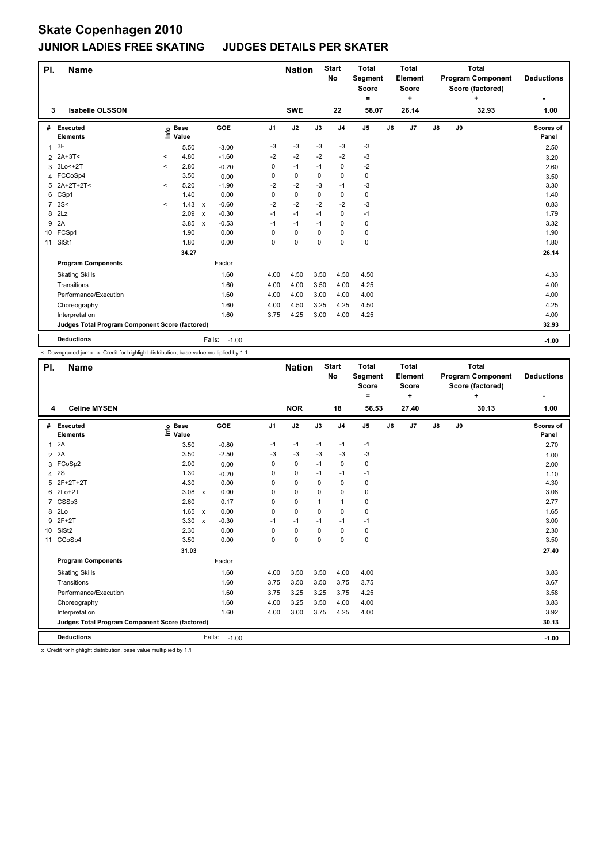| PI.            | <b>Name</b>                                     |          |                      |                           |                   |                | <b>Nation</b> |          | <b>Start</b><br>No | <b>Total</b><br>Segment<br><b>Score</b><br>= |    | <b>Total</b><br>Element<br><b>Score</b><br>÷ |               |    | <b>Total</b><br><b>Program Component</b><br>Score (factored)<br>÷ | <b>Deductions</b>  |
|----------------|-------------------------------------------------|----------|----------------------|---------------------------|-------------------|----------------|---------------|----------|--------------------|----------------------------------------------|----|----------------------------------------------|---------------|----|-------------------------------------------------------------------|--------------------|
| 3              | <b>Isabelle OLSSON</b>                          |          |                      |                           |                   |                | <b>SWE</b>    |          | 22                 | 58.07                                        |    | 26.14                                        |               |    | 32.93                                                             | 1.00               |
| #              | Executed<br><b>Elements</b>                     | ۴ô       | <b>Base</b><br>Value |                           | GOE               | J <sub>1</sub> | J2            | J3       | J <sub>4</sub>     | J <sub>5</sub>                               | J6 | J7                                           | $\mathsf{J}8$ | J9 |                                                                   | Scores of<br>Panel |
| 1              | 3F                                              |          | 5.50                 |                           | $-3.00$           | -3             | $-3$          | $-3$     | $-3$               | -3                                           |    |                                              |               |    |                                                                   | 2.50               |
|                | 2 2A+3T<                                        | $\,<$    | 4.80                 |                           | $-1.60$           | $-2$           | $-2$          | $-2$     | $-2$               | $-3$                                         |    |                                              |               |    |                                                                   | 3.20               |
| 3              | 3Lo<+2T                                         | $\,<\,$  | 2.80                 |                           | $-0.20$           | 0              | $-1$          | $-1$     | 0                  | $-2$                                         |    |                                              |               |    |                                                                   | 2.60               |
|                | 4 FCCoSp4                                       |          | 3.50                 |                           | 0.00              | 0              | 0             | $\Omega$ | $\mathbf 0$        | $\pmb{0}$                                    |    |                                              |               |    |                                                                   | 3.50               |
| 5              | 2A+2T+2T<                                       | $\prec$  | 5.20                 |                           | $-1.90$           | $-2$           | $-2$          | -3       | $-1$               | -3                                           |    |                                              |               |    |                                                                   | 3.30               |
| 6              | CSp1                                            |          | 1.40                 |                           | 0.00              | 0              | $\mathbf 0$   | 0        | $\mathbf 0$        | $\pmb{0}$                                    |    |                                              |               |    |                                                                   | 1.40               |
| $\overline{7}$ | 3S<                                             | $\hat{}$ | 1.43                 | $\boldsymbol{\mathsf{x}}$ | $-0.60$           | $-2$           | $-2$          | $-2$     | $-2$               | -3                                           |    |                                              |               |    |                                                                   | 0.83               |
| 8              | 2Lz                                             |          | 2.09                 | $\mathsf{x}$              | $-0.30$           | $-1$           | $-1$          | $-1$     | $\mathbf 0$        | $-1$                                         |    |                                              |               |    |                                                                   | 1.79               |
| 9              | 2A                                              |          | 3.85                 | $\boldsymbol{\mathsf{x}}$ | $-0.53$           | $-1$           | $-1$          | $-1$     | $\mathbf 0$        | 0                                            |    |                                              |               |    |                                                                   | 3.32               |
|                | 10 FCSp1                                        |          | 1.90                 |                           | 0.00              | 0              | 0             | 0        | $\mathbf 0$        | 0                                            |    |                                              |               |    |                                                                   | 1.90               |
| 11             | SISt1                                           |          | 1.80                 |                           | 0.00              | 0              | $\mathbf 0$   | 0        | $\mathbf 0$        | $\pmb{0}$                                    |    |                                              |               |    |                                                                   | 1.80               |
|                |                                                 |          | 34.27                |                           |                   |                |               |          |                    |                                              |    |                                              |               |    |                                                                   | 26.14              |
|                | <b>Program Components</b>                       |          |                      |                           | Factor            |                |               |          |                    |                                              |    |                                              |               |    |                                                                   |                    |
|                | <b>Skating Skills</b>                           |          |                      |                           | 1.60              | 4.00           | 4.50          | 3.50     | 4.50               | 4.50                                         |    |                                              |               |    |                                                                   | 4.33               |
|                | Transitions                                     |          |                      |                           | 1.60              | 4.00           | 4.00          | 3.50     | 4.00               | 4.25                                         |    |                                              |               |    |                                                                   | 4.00               |
|                | Performance/Execution                           |          |                      |                           | 1.60              | 4.00           | 4.00          | 3.00     | 4.00               | 4.00                                         |    |                                              |               |    |                                                                   | 4.00               |
|                | Choreography                                    |          |                      |                           | 1.60              | 4.00           | 4.50          | 3.25     | 4.25               | 4.50                                         |    |                                              |               |    |                                                                   | 4.25               |
|                | Interpretation                                  |          |                      |                           | 1.60              | 3.75           | 4.25          | 3.00     | 4.00               | 4.25                                         |    |                                              |               |    |                                                                   | 4.00               |
|                | Judges Total Program Component Score (factored) |          |                      |                           |                   |                |               |          |                    |                                              |    |                                              |               |    |                                                                   | 32.93              |
|                | <b>Deductions</b>                               |          |                      |                           | Falls:<br>$-1.00$ |                |               |          |                    |                                              |    |                                              |               |    |                                                                   | $-1.00$            |

< Downgraded jump x Credit for highlight distribution, base value multiplied by 1.1

| PI. | <b>Name</b>                                     |                            |                                   |                | <b>Nation</b> |          | <b>Start</b><br>No | <b>Total</b><br>Segment<br><b>Score</b><br>Ξ. |    | <b>Total</b><br>Element<br><b>Score</b><br>÷ |               |    | <b>Total</b><br><b>Program Component</b><br>Score (factored)<br>÷ | <b>Deductions</b>  |
|-----|-------------------------------------------------|----------------------------|-----------------------------------|----------------|---------------|----------|--------------------|-----------------------------------------------|----|----------------------------------------------|---------------|----|-------------------------------------------------------------------|--------------------|
| 4   | <b>Celine MYSEN</b>                             |                            |                                   |                | <b>NOR</b>    |          | 18                 | 56.53                                         |    | 27.40                                        |               |    | 30.13                                                             | 1.00               |
| #   | Executed<br><b>Elements</b>                     | e Base<br>E Value<br>Value | GOE                               | J <sub>1</sub> | J2            | J3       | J <sub>4</sub>     | J <sub>5</sub>                                | J6 | J <sub>7</sub>                               | $\mathsf{J}8$ | J9 |                                                                   | Scores of<br>Panel |
| 1   | 2A                                              | 3.50                       | $-0.80$                           | $-1$           | $-1$          | $-1$     | $-1$               | $-1$                                          |    |                                              |               |    |                                                                   | 2.70               |
|     | 2 2A                                            | 3.50                       | $-2.50$                           | $-3$           | $-3$          | $-3$     | $-3$               | $-3$                                          |    |                                              |               |    |                                                                   | 1.00               |
|     | 3 FCoSp2                                        | 2.00                       | 0.00                              | 0              | $\mathbf 0$   | $-1$     | $\mathbf 0$        | $\mathbf 0$                                   |    |                                              |               |    |                                                                   | 2.00               |
| 4   | 2S                                              | 1.30                       | $-0.20$                           | 0              | $\mathbf 0$   | $-1$     | $-1$               | $-1$                                          |    |                                              |               |    |                                                                   | 1.10               |
| 5   | 2F+2T+2T                                        | 4.30                       | 0.00                              | 0              | $\mathbf 0$   | 0        | $\mathbf 0$        | 0                                             |    |                                              |               |    |                                                                   | 4.30               |
| 6   | $2Lo+2T$                                        | 3.08                       | 0.00<br>$\mathsf{x}$              | 0              | $\mathbf 0$   | 0        | $\mathbf 0$        | 0                                             |    |                                              |               |    |                                                                   | 3.08               |
|     | 7 CSSp3                                         | 2.60                       | 0.17                              | 0              | $\mathbf 0$   | 1        | $\mathbf{1}$       | 0                                             |    |                                              |               |    |                                                                   | 2.77               |
| 8   | 2 <sub>LO</sub>                                 | 1.65                       | 0.00<br>$\boldsymbol{\mathsf{x}}$ | 0              | $\mathbf 0$   | $\Omega$ | $\mathbf 0$        | 0                                             |    |                                              |               |    |                                                                   | 1.65               |
| 9   | $2F+2T$                                         | 3.30                       | $-0.30$<br>$\mathsf{x}$           | $-1$           | $-1$          | $-1$     | $-1$               | $-1$                                          |    |                                              |               |    |                                                                   | 3.00               |
| 10  | SIS <sub>t2</sub>                               | 2.30                       | 0.00                              | 0              | $\mathbf 0$   | $\Omega$ | $\mathbf 0$        | 0                                             |    |                                              |               |    |                                                                   | 2.30               |
| 11  | CCoSp4                                          | 3.50                       | 0.00                              | 0              | $\mathbf 0$   | $\Omega$ | 0                  | $\pmb{0}$                                     |    |                                              |               |    |                                                                   | 3.50               |
|     |                                                 | 31.03                      |                                   |                |               |          |                    |                                               |    |                                              |               |    |                                                                   | 27.40              |
|     | <b>Program Components</b>                       |                            | Factor                            |                |               |          |                    |                                               |    |                                              |               |    |                                                                   |                    |
|     | <b>Skating Skills</b>                           |                            | 1.60                              | 4.00           | 3.50          | 3.50     | 4.00               | 4.00                                          |    |                                              |               |    |                                                                   | 3.83               |
|     | Transitions                                     |                            | 1.60                              | 3.75           | 3.50          | 3.50     | 3.75               | 3.75                                          |    |                                              |               |    |                                                                   | 3.67               |
|     | Performance/Execution                           |                            | 1.60                              | 3.75           | 3.25          | 3.25     | 3.75               | 4.25                                          |    |                                              |               |    |                                                                   | 3.58               |
|     | Choreography                                    |                            | 1.60                              | 4.00           | 3.25          | 3.50     | 4.00               | 4.00                                          |    |                                              |               |    |                                                                   | 3.83               |
|     | Interpretation                                  |                            | 1.60                              | 4.00           | 3.00          | 3.75     | 4.25               | 4.00                                          |    |                                              |               |    |                                                                   | 3.92               |
|     | Judges Total Program Component Score (factored) |                            |                                   |                |               |          |                    |                                               |    |                                              |               |    |                                                                   | 30.13              |
|     | <b>Deductions</b>                               |                            | Falls:<br>$-1.00$                 |                |               |          |                    |                                               |    |                                              |               |    |                                                                   | $-1.00$            |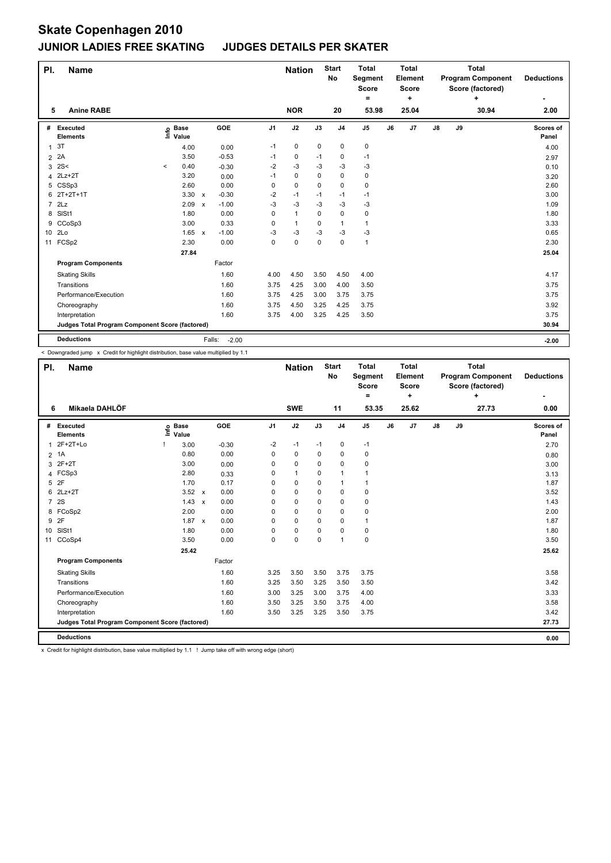| PI.             | <b>Name</b>                                     |         |                      |                           |                   |                | <b>Nation</b> |      | <b>Start</b><br>No | <b>Total</b><br>Segment<br>Score<br>Ξ. |    | <b>Total</b><br>Element<br><b>Score</b><br>٠ |               |    | <b>Total</b><br><b>Program Component</b><br>Score (factored)<br>٠ | <b>Deductions</b>  |
|-----------------|-------------------------------------------------|---------|----------------------|---------------------------|-------------------|----------------|---------------|------|--------------------|----------------------------------------|----|----------------------------------------------|---------------|----|-------------------------------------------------------------------|--------------------|
| 5               | <b>Anine RABE</b>                               |         |                      |                           |                   |                | <b>NOR</b>    |      | 20                 | 53.98                                  |    | 25.04                                        |               |    | 30.94                                                             | 2.00               |
| #               | Executed<br><b>Elements</b>                     | ١nfo    | <b>Base</b><br>Value |                           | GOE               | J <sub>1</sub> | J2            | J3   | J <sub>4</sub>     | J <sub>5</sub>                         | J6 | J7                                           | $\mathsf{J}8$ | J9 |                                                                   | Scores of<br>Panel |
| $\mathbf{1}$    | 3T                                              |         | 4.00                 |                           | 0.00              | $-1$           | 0             | 0    | 0                  | 0                                      |    |                                              |               |    |                                                                   | 4.00               |
| $\overline{2}$  | 2A                                              |         | 3.50                 |                           | $-0.53$           | $-1$           | $\mathbf 0$   | -1   | 0                  | -1                                     |    |                                              |               |    |                                                                   | 2.97               |
| 3               | 2S<                                             | $\,<\,$ | 0.40                 |                           | $-0.30$           | $-2$           | $-3$          | $-3$ | $-3$               | $-3$                                   |    |                                              |               |    |                                                                   | 0.10               |
| 4               | $2Lz+2T$                                        |         | 3.20                 |                           | 0.00              | $-1$           | 0             | 0    | 0                  | $\pmb{0}$                              |    |                                              |               |    |                                                                   | 3.20               |
| 5               | CSSp3                                           |         | 2.60                 |                           | 0.00              | 0              | $\mathbf 0$   | 0    | 0                  | 0                                      |    |                                              |               |    |                                                                   | 2.60               |
| 6               | $2T+2T+1T$                                      |         | 3.30                 | $\mathbf{x}$              | $-0.30$           | $-2$           | $-1$          | $-1$ | $-1$               | $-1$                                   |    |                                              |               |    |                                                                   | 3.00               |
| $\overline{7}$  | 2Lz                                             |         | 2.09                 | $\boldsymbol{\mathsf{x}}$ | $-1.00$           | $-3$           | $-3$          | $-3$ | $-3$               | $-3$                                   |    |                                              |               |    |                                                                   | 1.09               |
| 8               | SISt1                                           |         | 1.80                 |                           | 0.00              | 0              | $\mathbf{1}$  | 0    | $\mathbf 0$        | $\pmb{0}$                              |    |                                              |               |    |                                                                   | 1.80               |
| 9               | CCoSp3                                          |         | 3.00                 |                           | 0.33              | 0              | $\mathbf{1}$  | 0    | $\overline{1}$     | $\mathbf{1}$                           |    |                                              |               |    |                                                                   | 3.33               |
| 10 <sup>1</sup> | 2Lo                                             |         | 1.65                 | $\mathbf{x}$              | $-1.00$           | $-3$           | $-3$          | $-3$ | $-3$               | $-3$                                   |    |                                              |               |    |                                                                   | 0.65               |
| 11              | FCSp2                                           |         | 2.30                 |                           | 0.00              | 0              | $\pmb{0}$     | 0    | $\mathbf 0$        | $\mathbf{1}$                           |    |                                              |               |    |                                                                   | 2.30               |
|                 |                                                 |         | 27.84                |                           |                   |                |               |      |                    |                                        |    |                                              |               |    |                                                                   | 25.04              |
|                 | <b>Program Components</b>                       |         |                      |                           | Factor            |                |               |      |                    |                                        |    |                                              |               |    |                                                                   |                    |
|                 | <b>Skating Skills</b>                           |         |                      |                           | 1.60              | 4.00           | 4.50          | 3.50 | 4.50               | 4.00                                   |    |                                              |               |    |                                                                   | 4.17               |
|                 | Transitions                                     |         |                      |                           | 1.60              | 3.75           | 4.25          | 3.00 | 4.00               | 3.50                                   |    |                                              |               |    |                                                                   | 3.75               |
|                 | Performance/Execution                           |         |                      |                           | 1.60              | 3.75           | 4.25          | 3.00 | 3.75               | 3.75                                   |    |                                              |               |    |                                                                   | 3.75               |
|                 | Choreography                                    |         |                      |                           | 1.60              | 3.75           | 4.50          | 3.25 | 4.25               | 3.75                                   |    |                                              |               |    |                                                                   | 3.92               |
|                 | Interpretation                                  |         |                      |                           | 1.60              | 3.75           | 4.00          | 3.25 | 4.25               | 3.50                                   |    |                                              |               |    |                                                                   | 3.75               |
|                 | Judges Total Program Component Score (factored) |         |                      |                           |                   |                |               |      |                    |                                        |    |                                              |               |    |                                                                   | 30.94              |
|                 | <b>Deductions</b>                               |         |                      |                           | Falls:<br>$-2.00$ |                |               |      |                    |                                        |    |                                              |               |    |                                                                   | $-2.00$            |

< Downgraded jump x Credit for highlight distribution, base value multiplied by 1.1

| Mikaela DAHLÖF<br><b>SWE</b><br>25.62<br>27.73<br>11<br>53.35<br>6<br>J2<br>GOE<br>J <sub>1</sub><br>J3<br>J <sub>5</sub><br>J7<br>$\mathsf{J}8$<br>J9<br>Executed<br><b>Base</b><br>J <sub>4</sub><br>J6<br>#<br>lnfo<br>Value<br><b>Elements</b><br>$2F+2T+Lo$<br>$\pmb{0}$<br>$-2$<br>$-1$<br>$-1$<br>$-1$<br>3.00<br>$-0.30$<br>1<br>0.00<br>1A<br>0.80<br>0<br>$\mathbf 0$<br>$\mathbf 0$<br>$\mathbf 0$<br>$\pmb{0}$<br>$\overline{2}$<br>$2F+2T$<br>3.00<br>0<br>0<br>0<br>0<br>0<br>0.00<br>3<br>FCSp3<br>$\mathbf{1}$<br>2.80<br>0<br>0<br>$\mathbf{1}$<br>$\mathbf 1$<br>0.33<br>4<br>2F<br>0.17<br>5<br>1.70<br>0<br>0<br>0<br>$\mathbf{1}$<br>$\mathbf{1}$<br>$2Lz+2T$<br>3.52<br>0.00<br>$\mathbf 0$<br>$\mathbf 0$<br>6<br>0<br>$\Omega$<br>0<br>$\mathsf{x}$<br>2S<br>$\overline{7}$<br>1.43<br>$\mathbf 0$<br>$\mathbf 0$<br>$\pmb{0}$<br>0.00<br>0<br>$\Omega$<br>$\mathsf{x}$<br>8 FCoSp2<br>2.00<br>0.00<br>$\mathbf 0$<br>0<br>0<br>0<br>0<br>2F<br>9<br>1.87<br>0.00<br>0<br>0<br>0<br>$\mathbf{1}$<br>0<br>$\mathsf{x}$<br>SISt1<br>0.00<br>$\mathbf 0$<br>$\pmb{0}$<br>10 <sup>°</sup><br>1.80<br>0<br>$\Omega$<br>0<br>0.00<br>$\overline{1}$<br>$\pmb{0}$<br>3.50<br>0<br>$\mathbf 0$<br>$\mathbf 0$<br>CCoSp4<br>11<br>25.42<br><b>Program Components</b><br>Factor<br>3.50<br>1.60<br>3.25<br>3.50<br>3.75<br>3.75<br><b>Skating Skills</b><br>3.50<br>3.25<br>3.50<br>3.50<br>Transitions<br>1.60<br>3.25<br>Performance/Execution<br>3.25<br>3.75<br>4.00<br>1.60<br>3.00<br>3.00<br>1.60<br>3.25<br>3.75<br>4.00<br>3.50<br>3.50<br>Choreography<br>1.60<br>3.25<br>Interpretation<br>3.50<br>3.25<br>3.50<br>3.75<br>Judges Total Program Component Score (factored) | PI. | <b>Name</b> |  |  | <b>Nation</b> | <b>Start</b><br><b>No</b> | <b>Total</b><br>Segment<br><b>Score</b> | <b>Total</b><br>Element<br><b>Score</b> |  | <b>Total</b><br><b>Program Component</b><br>Score (factored) | <b>Deductions</b>  |
|-----------------------------------------------------------------------------------------------------------------------------------------------------------------------------------------------------------------------------------------------------------------------------------------------------------------------------------------------------------------------------------------------------------------------------------------------------------------------------------------------------------------------------------------------------------------------------------------------------------------------------------------------------------------------------------------------------------------------------------------------------------------------------------------------------------------------------------------------------------------------------------------------------------------------------------------------------------------------------------------------------------------------------------------------------------------------------------------------------------------------------------------------------------------------------------------------------------------------------------------------------------------------------------------------------------------------------------------------------------------------------------------------------------------------------------------------------------------------------------------------------------------------------------------------------------------------------------------------------------------------------------------------------------------------------------------------------|-----|-------------|--|--|---------------|---------------------------|-----------------------------------------|-----------------------------------------|--|--------------------------------------------------------------|--------------------|
|                                                                                                                                                                                                                                                                                                                                                                                                                                                                                                                                                                                                                                                                                                                                                                                                                                                                                                                                                                                                                                                                                                                                                                                                                                                                                                                                                                                                                                                                                                                                                                                                                                                                                                     |     |             |  |  |               |                           | $=$                                     | ÷                                       |  | ÷                                                            | 0.00               |
|                                                                                                                                                                                                                                                                                                                                                                                                                                                                                                                                                                                                                                                                                                                                                                                                                                                                                                                                                                                                                                                                                                                                                                                                                                                                                                                                                                                                                                                                                                                                                                                                                                                                                                     |     |             |  |  |               |                           |                                         |                                         |  |                                                              |                    |
|                                                                                                                                                                                                                                                                                                                                                                                                                                                                                                                                                                                                                                                                                                                                                                                                                                                                                                                                                                                                                                                                                                                                                                                                                                                                                                                                                                                                                                                                                                                                                                                                                                                                                                     |     |             |  |  |               |                           |                                         |                                         |  |                                                              | Scores of<br>Panel |
|                                                                                                                                                                                                                                                                                                                                                                                                                                                                                                                                                                                                                                                                                                                                                                                                                                                                                                                                                                                                                                                                                                                                                                                                                                                                                                                                                                                                                                                                                                                                                                                                                                                                                                     |     |             |  |  |               |                           |                                         |                                         |  |                                                              | 2.70               |
|                                                                                                                                                                                                                                                                                                                                                                                                                                                                                                                                                                                                                                                                                                                                                                                                                                                                                                                                                                                                                                                                                                                                                                                                                                                                                                                                                                                                                                                                                                                                                                                                                                                                                                     |     |             |  |  |               |                           |                                         |                                         |  |                                                              | 0.80               |
|                                                                                                                                                                                                                                                                                                                                                                                                                                                                                                                                                                                                                                                                                                                                                                                                                                                                                                                                                                                                                                                                                                                                                                                                                                                                                                                                                                                                                                                                                                                                                                                                                                                                                                     |     |             |  |  |               |                           |                                         |                                         |  |                                                              | 3.00               |
|                                                                                                                                                                                                                                                                                                                                                                                                                                                                                                                                                                                                                                                                                                                                                                                                                                                                                                                                                                                                                                                                                                                                                                                                                                                                                                                                                                                                                                                                                                                                                                                                                                                                                                     |     |             |  |  |               |                           |                                         |                                         |  |                                                              | 3.13               |
|                                                                                                                                                                                                                                                                                                                                                                                                                                                                                                                                                                                                                                                                                                                                                                                                                                                                                                                                                                                                                                                                                                                                                                                                                                                                                                                                                                                                                                                                                                                                                                                                                                                                                                     |     |             |  |  |               |                           |                                         |                                         |  |                                                              | 1.87               |
|                                                                                                                                                                                                                                                                                                                                                                                                                                                                                                                                                                                                                                                                                                                                                                                                                                                                                                                                                                                                                                                                                                                                                                                                                                                                                                                                                                                                                                                                                                                                                                                                                                                                                                     |     |             |  |  |               |                           |                                         |                                         |  |                                                              | 3.52               |
|                                                                                                                                                                                                                                                                                                                                                                                                                                                                                                                                                                                                                                                                                                                                                                                                                                                                                                                                                                                                                                                                                                                                                                                                                                                                                                                                                                                                                                                                                                                                                                                                                                                                                                     |     |             |  |  |               |                           |                                         |                                         |  |                                                              | 1.43               |
|                                                                                                                                                                                                                                                                                                                                                                                                                                                                                                                                                                                                                                                                                                                                                                                                                                                                                                                                                                                                                                                                                                                                                                                                                                                                                                                                                                                                                                                                                                                                                                                                                                                                                                     |     |             |  |  |               |                           |                                         |                                         |  |                                                              | 2.00               |
|                                                                                                                                                                                                                                                                                                                                                                                                                                                                                                                                                                                                                                                                                                                                                                                                                                                                                                                                                                                                                                                                                                                                                                                                                                                                                                                                                                                                                                                                                                                                                                                                                                                                                                     |     |             |  |  |               |                           |                                         |                                         |  |                                                              | 1.87               |
|                                                                                                                                                                                                                                                                                                                                                                                                                                                                                                                                                                                                                                                                                                                                                                                                                                                                                                                                                                                                                                                                                                                                                                                                                                                                                                                                                                                                                                                                                                                                                                                                                                                                                                     |     |             |  |  |               |                           |                                         |                                         |  |                                                              | 1.80               |
|                                                                                                                                                                                                                                                                                                                                                                                                                                                                                                                                                                                                                                                                                                                                                                                                                                                                                                                                                                                                                                                                                                                                                                                                                                                                                                                                                                                                                                                                                                                                                                                                                                                                                                     |     |             |  |  |               |                           |                                         |                                         |  |                                                              | 3.50               |
|                                                                                                                                                                                                                                                                                                                                                                                                                                                                                                                                                                                                                                                                                                                                                                                                                                                                                                                                                                                                                                                                                                                                                                                                                                                                                                                                                                                                                                                                                                                                                                                                                                                                                                     |     |             |  |  |               |                           |                                         |                                         |  |                                                              | 25.62              |
|                                                                                                                                                                                                                                                                                                                                                                                                                                                                                                                                                                                                                                                                                                                                                                                                                                                                                                                                                                                                                                                                                                                                                                                                                                                                                                                                                                                                                                                                                                                                                                                                                                                                                                     |     |             |  |  |               |                           |                                         |                                         |  |                                                              |                    |
|                                                                                                                                                                                                                                                                                                                                                                                                                                                                                                                                                                                                                                                                                                                                                                                                                                                                                                                                                                                                                                                                                                                                                                                                                                                                                                                                                                                                                                                                                                                                                                                                                                                                                                     |     |             |  |  |               |                           |                                         |                                         |  |                                                              | 3.58               |
|                                                                                                                                                                                                                                                                                                                                                                                                                                                                                                                                                                                                                                                                                                                                                                                                                                                                                                                                                                                                                                                                                                                                                                                                                                                                                                                                                                                                                                                                                                                                                                                                                                                                                                     |     |             |  |  |               |                           |                                         |                                         |  |                                                              | 3.42               |
|                                                                                                                                                                                                                                                                                                                                                                                                                                                                                                                                                                                                                                                                                                                                                                                                                                                                                                                                                                                                                                                                                                                                                                                                                                                                                                                                                                                                                                                                                                                                                                                                                                                                                                     |     |             |  |  |               |                           |                                         |                                         |  |                                                              | 3.33               |
|                                                                                                                                                                                                                                                                                                                                                                                                                                                                                                                                                                                                                                                                                                                                                                                                                                                                                                                                                                                                                                                                                                                                                                                                                                                                                                                                                                                                                                                                                                                                                                                                                                                                                                     |     |             |  |  |               |                           |                                         |                                         |  |                                                              | 3.58               |
|                                                                                                                                                                                                                                                                                                                                                                                                                                                                                                                                                                                                                                                                                                                                                                                                                                                                                                                                                                                                                                                                                                                                                                                                                                                                                                                                                                                                                                                                                                                                                                                                                                                                                                     |     |             |  |  |               |                           |                                         |                                         |  |                                                              | 3.42               |
|                                                                                                                                                                                                                                                                                                                                                                                                                                                                                                                                                                                                                                                                                                                                                                                                                                                                                                                                                                                                                                                                                                                                                                                                                                                                                                                                                                                                                                                                                                                                                                                                                                                                                                     |     |             |  |  |               |                           |                                         |                                         |  |                                                              | 27.73              |
| <b>Deductions</b>                                                                                                                                                                                                                                                                                                                                                                                                                                                                                                                                                                                                                                                                                                                                                                                                                                                                                                                                                                                                                                                                                                                                                                                                                                                                                                                                                                                                                                                                                                                                                                                                                                                                                   |     |             |  |  |               |                           |                                         |                                         |  |                                                              | 0.00               |

x Credit for highlight distribution, base value multiplied by 1.1 ! Jump take off with wrong edge (short)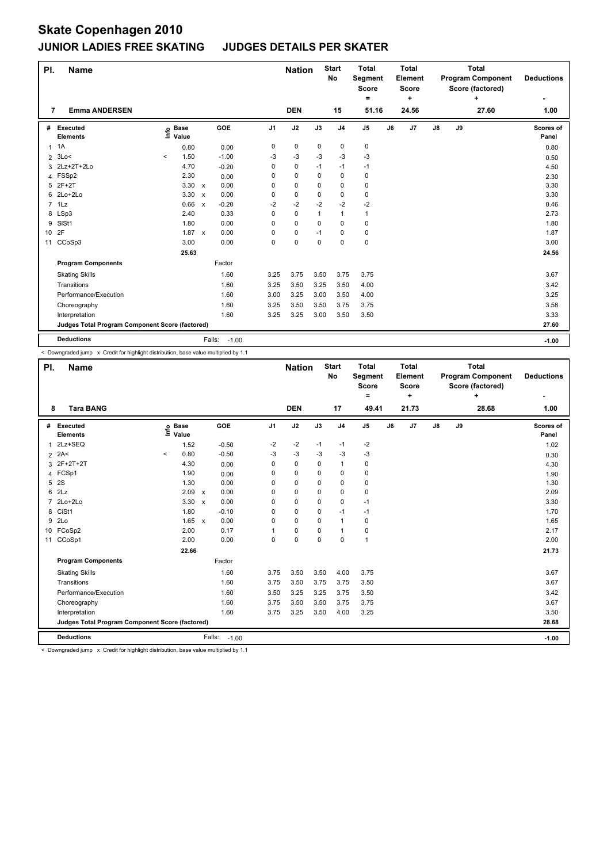| PI.             | <b>Name</b>                                     |          |                      |                |                   |                | <b>Nation</b> |              | <b>Start</b><br>No | <b>Total</b><br>Segment<br><b>Score</b><br>= |    | <b>Total</b><br>Element<br><b>Score</b><br>٠ |            |    | <b>Total</b><br><b>Program Component</b><br>Score (factored)<br>٠ | <b>Deductions</b>         |
|-----------------|-------------------------------------------------|----------|----------------------|----------------|-------------------|----------------|---------------|--------------|--------------------|----------------------------------------------|----|----------------------------------------------|------------|----|-------------------------------------------------------------------|---------------------------|
| 7               | <b>Emma ANDERSEN</b>                            |          |                      |                |                   |                | <b>DEN</b>    |              | 15                 | 51.16                                        |    | 24.56                                        |            |    | 27.60                                                             | 1.00                      |
| #               | Executed<br><b>Elements</b>                     | ١nfo     | <b>Base</b><br>Value |                | GOE               | J <sub>1</sub> | J2            | J3           | J <sub>4</sub>     | J <sub>5</sub>                               | J6 | J7                                           | ${\sf J8}$ | J9 |                                                                   | <b>Scores of</b><br>Panel |
|                 | $1 \t1A$                                        |          | 0.80                 |                | 0.00              | 0              | 0             | 0            | 0                  | 0                                            |    |                                              |            |    |                                                                   | 0.80                      |
| $\overline{2}$  | 3Lo<                                            | $\hat{}$ | 1.50                 |                | $-1.00$           | $-3$           | $-3$          | $-3$         | $-3$               | $-3$                                         |    |                                              |            |    |                                                                   | 0.50                      |
| 3               | 2Lz+2T+2Lo                                      |          | 4.70                 |                | $-0.20$           | 0              | $\mathbf 0$   | $-1$         | $-1$               | $-1$                                         |    |                                              |            |    |                                                                   | 4.50                      |
| 4               | FSSp2                                           |          | 2.30                 |                | 0.00              | 0              | $\mathbf 0$   | 0            | 0                  | $\pmb{0}$                                    |    |                                              |            |    |                                                                   | 2.30                      |
|                 | 5 2F+2T                                         |          | $3.30 \times$        |                | 0.00              | 0              | $\mathbf 0$   | 0            | $\mathbf 0$        | $\pmb{0}$                                    |    |                                              |            |    |                                                                   | 3.30                      |
| 6               | 2Lo+2Lo                                         |          | 3.30                 | $\mathsf{x}$   | 0.00              | 0              | $\mathbf 0$   | 0            | $\mathbf 0$        | $\pmb{0}$                                    |    |                                              |            |    |                                                                   | 3.30                      |
| $\overline{7}$  | 1Lz                                             |          | 0.66                 | $\pmb{\times}$ | $-0.20$           | $-2$           | $-2$          | $-2$         | $-2$               | $-2$                                         |    |                                              |            |    |                                                                   | 0.46                      |
| 8               | LSp3                                            |          | 2.40                 |                | 0.33              | 0              | $\mathbf 0$   | $\mathbf{1}$ | $\overline{1}$     | $\mathbf{1}$                                 |    |                                              |            |    |                                                                   | 2.73                      |
| 9               | SIS <sub>t1</sub>                               |          | 1.80                 |                | 0.00              | 0              | 0             | 0            | $\mathbf 0$        | 0                                            |    |                                              |            |    |                                                                   | 1.80                      |
| 10 <sup>1</sup> | 2F                                              |          | 1.87                 | $\mathsf{x}$   | 0.00              | 0              | 0             | $-1$         | $\mathbf 0$        | $\pmb{0}$                                    |    |                                              |            |    |                                                                   | 1.87                      |
| 11              | CCoSp3                                          |          | 3.00                 |                | 0.00              | 0              | $\pmb{0}$     | 0            | 0                  | $\pmb{0}$                                    |    |                                              |            |    |                                                                   | 3.00                      |
|                 |                                                 |          | 25.63                |                |                   |                |               |              |                    |                                              |    |                                              |            |    |                                                                   | 24.56                     |
|                 | <b>Program Components</b>                       |          |                      |                | Factor            |                |               |              |                    |                                              |    |                                              |            |    |                                                                   |                           |
|                 | <b>Skating Skills</b>                           |          |                      |                | 1.60              | 3.25           | 3.75          | 3.50         | 3.75               | 3.75                                         |    |                                              |            |    |                                                                   | 3.67                      |
|                 | Transitions                                     |          |                      |                | 1.60              | 3.25           | 3.50          | 3.25         | 3.50               | 4.00                                         |    |                                              |            |    |                                                                   | 3.42                      |
|                 | Performance/Execution                           |          |                      |                | 1.60              | 3.00           | 3.25          | 3.00         | 3.50               | 4.00                                         |    |                                              |            |    |                                                                   | 3.25                      |
|                 | Choreography                                    |          |                      |                | 1.60              | 3.25           | 3.50          | 3.50         | 3.75               | 3.75                                         |    |                                              |            |    |                                                                   | 3.58                      |
|                 | Interpretation                                  |          |                      |                | 1.60              | 3.25           | 3.25          | 3.00         | 3.50               | 3.50                                         |    |                                              |            |    |                                                                   | 3.33                      |
|                 | Judges Total Program Component Score (factored) |          |                      |                |                   |                |               |              |                    |                                              |    |                                              |            |    |                                                                   | 27.60                     |
|                 | <b>Deductions</b>                               |          |                      |                | Falls:<br>$-1.00$ |                |               |              |                    |                                              |    |                                              |            |    |                                                                   | $-1.00$                   |

< Downgraded jump x Credit for highlight distribution, base value multiplied by 1.1

| PI.             | <b>Name</b>                                     |         |                            |                           |            |                | <b>Nation</b> |          | <b>Start</b><br><b>No</b> | <b>Total</b><br><b>Segment</b><br><b>Score</b><br>۰ |    | <b>Total</b><br>Element<br><b>Score</b><br>÷ |               |    | <b>Total</b><br><b>Program Component</b><br>Score (factored)<br>٠ | <b>Deductions</b>  |
|-----------------|-------------------------------------------------|---------|----------------------------|---------------------------|------------|----------------|---------------|----------|---------------------------|-----------------------------------------------------|----|----------------------------------------------|---------------|----|-------------------------------------------------------------------|--------------------|
| 8               | <b>Tara BANG</b>                                |         |                            |                           |            |                | <b>DEN</b>    |          | 17                        | 49.41                                               |    | 21.73                                        |               |    | 28.68                                                             | 1.00               |
| #               | Executed<br><b>Elements</b>                     |         | e Base<br>E Value<br>Value |                           | <b>GOE</b> | J <sub>1</sub> | J2            | J3       | J <sub>4</sub>            | J <sub>5</sub>                                      | J6 | J7                                           | $\mathsf{J}8$ | J9 |                                                                   | Scores of<br>Panel |
|                 | 2Lz+SEQ                                         |         | 1.52                       |                           | $-0.50$    | $-2$           | $-2$          | $-1$     | $-1$                      | $-2$                                                |    |                                              |               |    |                                                                   | 1.02               |
|                 | $2$ 2A<                                         | $\prec$ | 0.80                       |                           | $-0.50$    | -3             | $-3$          | -3       | -3                        | -3                                                  |    |                                              |               |    |                                                                   | 0.30               |
| 3               | 2F+2T+2T                                        |         | 4.30                       |                           | 0.00       | $\Omega$       | 0             | 0        | $\mathbf{1}$              | 0                                                   |    |                                              |               |    |                                                                   | 4.30               |
| 4               | FCSp1                                           |         | 1.90                       |                           | 0.00       | $\Omega$       | 0             | 0        | $\mathbf 0$               | 0                                                   |    |                                              |               |    |                                                                   | 1.90               |
| 5               | 2S                                              |         | 1.30                       |                           | 0.00       | 0              | 0             | 0        | $\mathbf 0$               | 0                                                   |    |                                              |               |    |                                                                   | 1.30               |
| 6               | 2Lz                                             |         | 2.09                       | $\boldsymbol{\mathsf{x}}$ | 0.00       | 0              | 0             | 0        | 0                         | 0                                                   |    |                                              |               |    |                                                                   | 2.09               |
| 7               | 2Lo+2Lo                                         |         | 3.30                       | $\mathsf{x}$              | 0.00       | 0              | 0             | 0        | $\mathbf 0$               | $-1$                                                |    |                                              |               |    |                                                                   | 3.30               |
| 8               | CiSt1                                           |         | 1.80                       |                           | $-0.10$    | 0              | $\mathbf 0$   | 0        | $-1$                      | $-1$                                                |    |                                              |               |    |                                                                   | 1.70               |
| 9               | 2Lo                                             |         | 1.65 x                     |                           | 0.00       | 0              | 0             | 0        | $\mathbf{1}$              | 0                                                   |    |                                              |               |    |                                                                   | 1.65               |
| 10 <sup>1</sup> | FCoSp2                                          |         | 2.00                       |                           | 0.17       | 1              | 0             | 0        | $\mathbf{1}$              | 0                                                   |    |                                              |               |    |                                                                   | 2.17               |
| 11              | CCoSp1                                          |         | 2.00                       |                           | 0.00       | 0              | $\mathbf 0$   | $\Omega$ | $\mathbf 0$               | $\mathbf{1}$                                        |    |                                              |               |    |                                                                   | 2.00               |
|                 |                                                 |         | 22.66                      |                           |            |                |               |          |                           |                                                     |    |                                              |               |    |                                                                   | 21.73              |
|                 | <b>Program Components</b>                       |         |                            |                           | Factor     |                |               |          |                           |                                                     |    |                                              |               |    |                                                                   |                    |
|                 | <b>Skating Skills</b>                           |         |                            |                           | 1.60       | 3.75           | 3.50          | 3.50     | 4.00                      | 3.75                                                |    |                                              |               |    |                                                                   | 3.67               |
|                 | Transitions                                     |         |                            |                           | 1.60       | 3.75           | 3.50          | 3.75     | 3.75                      | 3.50                                                |    |                                              |               |    |                                                                   | 3.67               |
|                 | Performance/Execution                           |         |                            |                           | 1.60       | 3.50           | 3.25          | 3.25     | 3.75                      | 3.50                                                |    |                                              |               |    |                                                                   | 3.42               |
|                 | Choreography                                    |         |                            |                           | 1.60       | 3.75           | 3.50          | 3.50     | 3.75                      | 3.75                                                |    |                                              |               |    |                                                                   | 3.67               |
|                 | Interpretation                                  |         |                            |                           | 1.60       | 3.75           | 3.25          | 3.50     | 4.00                      | 3.25                                                |    |                                              |               |    |                                                                   | 3.50               |
|                 | Judges Total Program Component Score (factored) |         |                            |                           |            |                |               |          |                           |                                                     |    |                                              |               |    |                                                                   | 28.68              |
|                 | <b>Deductions</b>                               |         |                            | Falls:                    | $-1.00$    |                |               |          |                           |                                                     |    |                                              |               |    |                                                                   | $-1.00$            |

< Downgraded jump x Credit for highlight distribution, base value multiplied by 1.1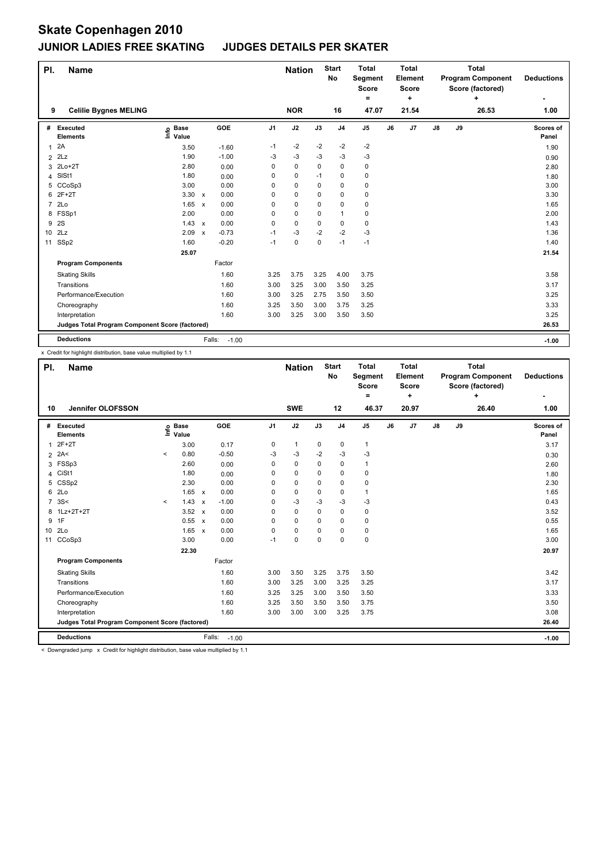| PI.            | <b>Name</b>                                     |                              |                           |                   |                | <b>Nation</b> |      | <b>Start</b><br>No | <b>Total</b><br>Segment<br><b>Score</b><br>= |    | <b>Total</b><br>Element<br><b>Score</b><br>٠ |    |    | <b>Total</b><br><b>Program Component</b><br>Score (factored)<br>÷ | <b>Deductions</b>  |
|----------------|-------------------------------------------------|------------------------------|---------------------------|-------------------|----------------|---------------|------|--------------------|----------------------------------------------|----|----------------------------------------------|----|----|-------------------------------------------------------------------|--------------------|
| 9              | <b>Celilie Bygnes MELING</b>                    |                              |                           |                   |                | <b>NOR</b>    |      | 16                 | 47.07                                        |    | 21.54                                        |    |    | 26.53                                                             | 1.00               |
| #              | Executed<br><b>Elements</b>                     | <b>Base</b><br>١nfo<br>Value |                           | GOE               | J <sub>1</sub> | J2            | J3   | J <sub>4</sub>     | J <sub>5</sub>                               | J6 | J7                                           | J8 | J9 |                                                                   | Scores of<br>Panel |
| 1              | 2A                                              | 3.50                         |                           | $-1.60$           | $-1$           | $-2$          | $-2$ | $-2$               | $-2$                                         |    |                                              |    |    |                                                                   | 1.90               |
| $\overline{2}$ | 2Lz                                             | 1.90                         |                           | $-1.00$           | -3             | $-3$          | -3   | -3                 | $-3$                                         |    |                                              |    |    |                                                                   | 0.90               |
|                | 3 2Lo+2T                                        | 2.80                         |                           | 0.00              | 0              | $\mathbf 0$   | 0    | $\mathbf 0$        | $\pmb{0}$                                    |    |                                              |    |    |                                                                   | 2.80               |
|                | 4 SISt1                                         | 1.80                         |                           | 0.00              | 0              | $\pmb{0}$     | $-1$ | $\pmb{0}$          | $\pmb{0}$                                    |    |                                              |    |    |                                                                   | 1.80               |
|                | 5 CCoSp3                                        | 3.00                         |                           | 0.00              | 0              | 0             | 0    | 0                  | 0                                            |    |                                              |    |    |                                                                   | 3.00               |
|                | 6 2F+2T                                         | 3.30                         | $\mathsf{x}$              | 0.00              | 0              | 0             | 0    | 0                  | $\pmb{0}$                                    |    |                                              |    |    |                                                                   | 3.30               |
| $\overline{7}$ | 2Lo                                             | 1.65                         | $\mathsf{x}$              | 0.00              | 0              | $\mathbf 0$   | 0    | 0                  | 0                                            |    |                                              |    |    |                                                                   | 1.65               |
|                | 8 FSSp1                                         | 2.00                         |                           | 0.00              | 0              | 0             | 0    | $\overline{1}$     | 0                                            |    |                                              |    |    |                                                                   | 2.00               |
| 9              | <b>2S</b>                                       | 1.43                         | $\mathsf{x}$              | 0.00              | 0              | $\mathbf 0$   | 0    | 0                  | $\pmb{0}$                                    |    |                                              |    |    |                                                                   | 1.43               |
|                | 10 2Lz                                          | 2.09                         | $\boldsymbol{\mathsf{x}}$ | $-0.73$           | $-1$           | $-3$          | $-2$ | $-2$               | $-3$                                         |    |                                              |    |    |                                                                   | 1.36               |
| 11             | SSp2                                            | 1.60                         |                           | $-0.20$           | $-1$           | 0             | 0    | $-1$               | $-1$                                         |    |                                              |    |    |                                                                   | 1.40               |
|                |                                                 | 25.07                        |                           |                   |                |               |      |                    |                                              |    |                                              |    |    |                                                                   | 21.54              |
|                | <b>Program Components</b>                       |                              |                           | Factor            |                |               |      |                    |                                              |    |                                              |    |    |                                                                   |                    |
|                | <b>Skating Skills</b>                           |                              |                           | 1.60              | 3.25           | 3.75          | 3.25 | 4.00               | 3.75                                         |    |                                              |    |    |                                                                   | 3.58               |
|                | Transitions                                     |                              |                           | 1.60              | 3.00           | 3.25          | 3.00 | 3.50               | 3.25                                         |    |                                              |    |    |                                                                   | 3.17               |
|                | Performance/Execution                           |                              |                           | 1.60              | 3.00           | 3.25          | 2.75 | 3.50               | 3.50                                         |    |                                              |    |    |                                                                   | 3.25               |
|                | Choreography                                    |                              |                           | 1.60              | 3.25           | 3.50          | 3.00 | 3.75               | 3.25                                         |    |                                              |    |    |                                                                   | 3.33               |
|                | Interpretation                                  |                              |                           | 1.60              | 3.00           | 3.25          | 3.00 | 3.50               | 3.50                                         |    |                                              |    |    |                                                                   | 3.25               |
|                | Judges Total Program Component Score (factored) |                              |                           |                   |                |               |      |                    |                                              |    |                                              |    |    |                                                                   | 26.53              |
|                | <b>Deductions</b>                               |                              |                           | Falls:<br>$-1.00$ |                |               |      |                    |                                              |    |                                              |    |    |                                                                   | $-1.00$            |

x Credit for highlight distribution, base value multiplied by 1.1

| PI.            | <b>Name</b>                                     |         |                      |              |         |                | <b>Nation</b> |          | <b>Start</b><br>No | <b>Total</b><br>Segment<br><b>Score</b> |    | <b>Total</b><br>Element<br><b>Score</b> |            |    | <b>Total</b><br><b>Program Component</b><br>Score (factored) | <b>Deductions</b>  |
|----------------|-------------------------------------------------|---------|----------------------|--------------|---------|----------------|---------------|----------|--------------------|-----------------------------------------|----|-----------------------------------------|------------|----|--------------------------------------------------------------|--------------------|
| 10             | <b>Jennifer OLOFSSON</b>                        |         |                      |              |         |                | <b>SWE</b>    |          | 12                 | $\equiv$<br>46.37                       |    | ٠<br>20.97                              |            |    | ٠<br>26.40                                                   | 1.00               |
| #              | Executed<br><b>Elements</b>                     | ١nf٥    | <b>Base</b><br>Value |              | GOE     | J <sub>1</sub> | J2            | J3       | J <sub>4</sub>     | J <sub>5</sub>                          | J6 | J7                                      | ${\sf J8}$ | J9 |                                                              | Scores of<br>Panel |
| 1              | $2F+2T$                                         |         | 3.00                 |              | 0.17    | 0              | $\mathbf{1}$  | 0        | 0                  | 1                                       |    |                                         |            |    |                                                              | 3.17               |
|                | $2$ 2A<                                         | $\prec$ | 0.80                 |              | $-0.50$ | $-3$           | $-3$          | $-2$     | $-3$               | $-3$                                    |    |                                         |            |    |                                                              | 0.30               |
|                | 3 FSSp3                                         |         | 2.60                 |              | 0.00    | 0              | 0             | 0        | $\mathbf 0$        | 1                                       |    |                                         |            |    |                                                              | 2.60               |
| 4              | CiSt1                                           |         | 1.80                 |              | 0.00    | 0              | 0             | 0        | 0                  | 0                                       |    |                                         |            |    |                                                              | 1.80               |
| 5              | CSSp2                                           |         | 2.30                 |              | 0.00    | 0              | 0             | 0        | 0                  | 0                                       |    |                                         |            |    |                                                              | 2.30               |
| 6              | 2Lo                                             |         | $1.65 \times$        |              | 0.00    | 0              | $\mathbf 0$   | 0        | 0                  | 1                                       |    |                                         |            |    |                                                              | 1.65               |
| $\overline{7}$ | 3S<                                             | $\prec$ | 1.43                 | $\mathsf{x}$ | $-1.00$ | 0              | $-3$          | $-3$     | $-3$               | $-3$                                    |    |                                         |            |    |                                                              | 0.43               |
|                | 8 1Lz+2T+2T                                     |         | $3.52 \times$        |              | 0.00    | 0              | $\mathbf 0$   | 0        | 0                  | 0                                       |    |                                         |            |    |                                                              | 3.52               |
|                | 9 1F                                            |         | 0.55 x               |              | 0.00    | 0              | 0             | 0        | 0                  | 0                                       |    |                                         |            |    |                                                              | 0.55               |
|                | 10 2Lo                                          |         | $1.65 \times$        |              | 0.00    | $\Omega$       | $\mathbf 0$   | 0        | 0                  | 0                                       |    |                                         |            |    |                                                              | 1.65               |
|                | 11 CCoSp3                                       |         | 3.00                 |              | 0.00    | $-1$           | $\mathbf 0$   | $\Omega$ | $\mathbf 0$        | 0                                       |    |                                         |            |    |                                                              | 3.00               |
|                |                                                 |         | 22.30                |              |         |                |               |          |                    |                                         |    |                                         |            |    |                                                              | 20.97              |
|                | <b>Program Components</b>                       |         |                      |              | Factor  |                |               |          |                    |                                         |    |                                         |            |    |                                                              |                    |
|                | <b>Skating Skills</b>                           |         |                      |              | 1.60    | 3.00           | 3.50          | 3.25     | 3.75               | 3.50                                    |    |                                         |            |    |                                                              | 3.42               |
|                | Transitions                                     |         |                      |              | 1.60    | 3.00           | 3.25          | 3.00     | 3.25               | 3.25                                    |    |                                         |            |    |                                                              | 3.17               |
|                | Performance/Execution                           |         |                      |              | 1.60    | 3.25           | 3.25          | 3.00     | 3.50               | 3.50                                    |    |                                         |            |    |                                                              | 3.33               |
|                | Choreography                                    |         |                      |              | 1.60    | 3.25           | 3.50          | 3.50     | 3.50               | 3.75                                    |    |                                         |            |    |                                                              | 3.50               |
|                | Interpretation                                  |         |                      |              | 1.60    | 3.00           | 3.00          | 3.00     | 3.25               | 3.75                                    |    |                                         |            |    |                                                              | 3.08               |
|                | Judges Total Program Component Score (factored) |         |                      |              |         |                |               |          |                    |                                         |    |                                         |            |    |                                                              | 26.40              |
|                | <b>Deductions</b>                               |         |                      | Falls:       | $-1.00$ |                |               |          |                    |                                         |    |                                         |            |    |                                                              | $-1.00$            |

< Downgraded jump x Credit for highlight distribution, base value multiplied by 1.1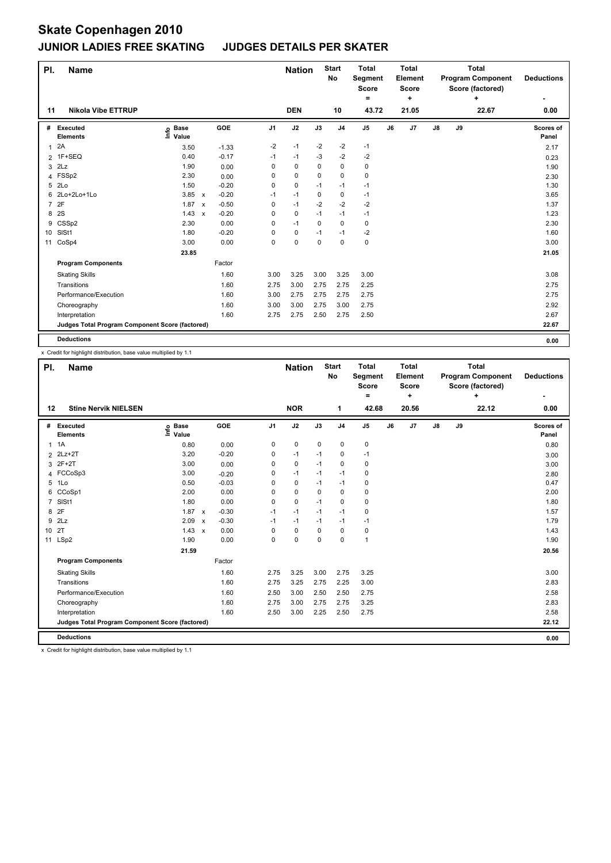| PI.            | <b>Name</b>                                     |                            |                           |         |                | <b>Nation</b> |      | <b>Start</b><br>No | <b>Total</b><br>Segment<br><b>Score</b><br>= |    | <b>Total</b><br>Element<br>Score<br>٠ |               |    | <b>Total</b><br><b>Program Component</b><br>Score (factored)<br>٠ | <b>Deductions</b>  |
|----------------|-------------------------------------------------|----------------------------|---------------------------|---------|----------------|---------------|------|--------------------|----------------------------------------------|----|---------------------------------------|---------------|----|-------------------------------------------------------------------|--------------------|
| 11             | <b>Nikola Vibe ETTRUP</b>                       |                            |                           |         |                | <b>DEN</b>    |      | 10                 | 43.72                                        |    | 21.05                                 |               |    | 22.67                                                             | 0.00               |
| #              | Executed<br><b>Elements</b>                     | <b>Base</b><br>۴ô<br>Value |                           | GOE     | J <sub>1</sub> | J2            | J3   | J <sub>4</sub>     | J <sub>5</sub>                               | J6 | J7                                    | $\mathsf{J}8$ | J9 |                                                                   | Scores of<br>Panel |
| 1              | 2A                                              | 3.50                       |                           | $-1.33$ | $-2$           | $-1$          | $-2$ | $-2$               | $-1$                                         |    |                                       |               |    |                                                                   | 2.17               |
|                | 2 1F+SEQ                                        | 0.40                       |                           | $-0.17$ | $-1$           | $-1$          | -3   | $-2$               | -2                                           |    |                                       |               |    |                                                                   | 0.23               |
| 3              | 2Lz                                             | 1.90                       |                           | 0.00    | 0              | $\mathbf 0$   | 0    | 0                  | 0                                            |    |                                       |               |    |                                                                   | 1.90               |
|                | 4 FSSp2                                         | 2.30                       |                           | 0.00    | 0              | 0             | 0    | 0                  | $\mathbf 0$                                  |    |                                       |               |    |                                                                   | 2.30               |
|                | 5 2Lo                                           | 1.50                       |                           | $-0.20$ | 0              | $\pmb{0}$     | $-1$ | $-1$               | $-1$                                         |    |                                       |               |    |                                                                   | 1.30               |
|                | 6 2Lo+2Lo+1Lo                                   | 3.85 x                     |                           | $-0.20$ | $-1$           | $-1$          | 0    | 0                  | $-1$                                         |    |                                       |               |    |                                                                   | 3.65               |
| $\overline{7}$ | 2F                                              | 1.87                       | $\boldsymbol{\mathsf{x}}$ | $-0.50$ | 0              | $-1$          | $-2$ | $-2$               | $-2$                                         |    |                                       |               |    |                                                                   | 1.37               |
|                | 8 2S                                            | 1.43                       | $\mathsf{x}$              | $-0.20$ | 0              | $\mathbf 0$   | $-1$ | $-1$               | $-1$                                         |    |                                       |               |    |                                                                   | 1.23               |
| 9              | CSSp2                                           | 2.30                       |                           | 0.00    | 0              | $-1$          | 0    | $\mathbf 0$        | $\mathbf 0$                                  |    |                                       |               |    |                                                                   | 2.30               |
|                | 10 SISt1                                        | 1.80                       |                           | $-0.20$ | 0              | 0             | $-1$ | $-1$               | $-2$                                         |    |                                       |               |    |                                                                   | 1.60               |
|                | 11 CoSp4                                        | 3.00                       |                           | 0.00    | 0              | 0             | 0    | $\mathbf 0$        | $\mathbf 0$                                  |    |                                       |               |    |                                                                   | 3.00               |
|                |                                                 | 23.85                      |                           |         |                |               |      |                    |                                              |    |                                       |               |    |                                                                   | 21.05              |
|                | <b>Program Components</b>                       |                            |                           | Factor  |                |               |      |                    |                                              |    |                                       |               |    |                                                                   |                    |
|                | <b>Skating Skills</b>                           |                            |                           | 1.60    | 3.00           | 3.25          | 3.00 | 3.25               | 3.00                                         |    |                                       |               |    |                                                                   | 3.08               |
|                | Transitions                                     |                            |                           | 1.60    | 2.75           | 3.00          | 2.75 | 2.75               | 2.25                                         |    |                                       |               |    |                                                                   | 2.75               |
|                | Performance/Execution                           |                            |                           | 1.60    | 3.00           | 2.75          | 2.75 | 2.75               | 2.75                                         |    |                                       |               |    |                                                                   | 2.75               |
|                | Choreography                                    |                            |                           | 1.60    | 3.00           | 3.00          | 2.75 | 3.00               | 2.75                                         |    |                                       |               |    |                                                                   | 2.92               |
|                | Interpretation                                  |                            |                           | 1.60    | 2.75           | 2.75          | 2.50 | 2.75               | 2.50                                         |    |                                       |               |    |                                                                   | 2.67               |
|                | Judges Total Program Component Score (factored) |                            |                           |         |                |               |      |                    |                                              |    |                                       |               |    |                                                                   | 22.67              |
|                | <b>Deductions</b>                               |                            |                           |         |                |               |      |                    |                                              |    |                                       |               |    |                                                                   | 0.00               |

x Credit for highlight distribution, base value multiplied by 1.1

| PI.            | <b>Name</b>                                     |                              |                                      |                | <b>Nation</b> |             | <b>Start</b><br><b>No</b> | <b>Total</b><br>Segment<br><b>Score</b><br>= |    | <b>Total</b><br>Element<br><b>Score</b> |               |    | <b>Total</b><br><b>Program Component</b><br>Score (factored)<br>٠ | <b>Deductions</b>  |
|----------------|-------------------------------------------------|------------------------------|--------------------------------------|----------------|---------------|-------------|---------------------------|----------------------------------------------|----|-----------------------------------------|---------------|----|-------------------------------------------------------------------|--------------------|
| 12             | <b>Stine Nervik NIELSEN</b>                     |                              |                                      |                | <b>NOR</b>    |             | 1                         | 42.68                                        |    | ٠<br>20.56                              |               |    | 22.12                                                             | 0.00               |
| #              | Executed<br><b>Elements</b>                     | <b>Base</b><br>١nf٥<br>Value | <b>GOE</b>                           | J <sub>1</sub> | J2            | J3          | J <sub>4</sub>            | J <sub>5</sub>                               | J6 | J <sub>7</sub>                          | $\mathsf{J}8$ | J9 |                                                                   | Scores of<br>Panel |
|                | $1 \t1A$                                        | 0.80                         | 0.00                                 | 0              | 0             | $\mathbf 0$ | $\mathbf 0$               | 0                                            |    |                                         |               |    |                                                                   | 0.80               |
|                | 2 2Lz+2T                                        | 3.20                         | $-0.20$                              | 0              | $-1$          | $-1$        | 0                         | $-1$                                         |    |                                         |               |    |                                                                   | 3.00               |
| 3              | $2F+2T$                                         | 3.00                         | 0.00                                 | 0              | $\mathbf 0$   | $-1$        | $\mathbf 0$               | 0                                            |    |                                         |               |    |                                                                   | 3.00               |
| 4              | FCCoSp3                                         | 3.00                         | $-0.20$                              | 0              | $-1$          | $-1$        | $-1$                      | 0                                            |    |                                         |               |    |                                                                   | 2.80               |
| 5              | 1Lo                                             | 0.50                         | $-0.03$                              | 0              | $\pmb{0}$     | $-1$        | $-1$                      | 0                                            |    |                                         |               |    |                                                                   | 0.47               |
| 6              | CCoSp1                                          | 2.00                         | 0.00                                 | $\Omega$       | $\mathbf 0$   | $\Omega$    | $\mathbf 0$               | 0                                            |    |                                         |               |    |                                                                   | 2.00               |
| $\overline{7}$ | SISt1                                           | 1.80                         | 0.00                                 | $\Omega$       | $\pmb{0}$     | $-1$        | $\mathbf 0$               | 0                                            |    |                                         |               |    |                                                                   | 1.80               |
| 8              | 2F                                              | 1.87                         | $-0.30$<br>$\pmb{\chi}$              | $-1$           | $-1$          | $-1$        | $-1$                      | 0                                            |    |                                         |               |    |                                                                   | 1.57               |
| 9              | 2Lz                                             | 2.09                         | $-0.30$<br>$\boldsymbol{\mathsf{x}}$ | $-1$           | $-1$          | $-1$        | $-1$                      | $-1$                                         |    |                                         |               |    |                                                                   | 1.79               |
| 10 2T          |                                                 | $1.43 \times$                | 0.00                                 | $\Omega$       | $\mathbf 0$   | 0           | $\mathbf 0$               | 0                                            |    |                                         |               |    |                                                                   | 1.43               |
|                | 11 LSp2                                         | 1.90                         | 0.00                                 | $\Omega$       | 0             | 0           | $\mathbf 0$               | $\mathbf{1}$                                 |    |                                         |               |    |                                                                   | 1.90               |
|                |                                                 | 21.59                        |                                      |                |               |             |                           |                                              |    |                                         |               |    |                                                                   | 20.56              |
|                | <b>Program Components</b>                       |                              | Factor                               |                |               |             |                           |                                              |    |                                         |               |    |                                                                   |                    |
|                | <b>Skating Skills</b>                           |                              | 1.60                                 | 2.75           | 3.25          | 3.00        | 2.75                      | 3.25                                         |    |                                         |               |    |                                                                   | 3.00               |
|                | Transitions                                     |                              | 1.60                                 | 2.75           | 3.25          | 2.75        | 2.25                      | 3.00                                         |    |                                         |               |    |                                                                   | 2.83               |
|                | Performance/Execution                           |                              | 1.60                                 | 2.50           | 3.00          | 2.50        | 2.50                      | 2.75                                         |    |                                         |               |    |                                                                   | 2.58               |
|                | Choreography                                    |                              | 1.60                                 | 2.75           | 3.00          | 2.75        | 2.75                      | 3.25                                         |    |                                         |               |    |                                                                   | 2.83               |
|                | Interpretation                                  |                              | 1.60                                 | 2.50           | 3.00          | 2.25        | 2.50                      | 2.75                                         |    |                                         |               |    |                                                                   | 2.58               |
|                | Judges Total Program Component Score (factored) |                              |                                      |                |               |             |                           |                                              |    |                                         |               |    |                                                                   | 22.12              |
|                | <b>Deductions</b>                               |                              |                                      |                |               |             |                           |                                              |    |                                         |               |    |                                                                   | 0.00               |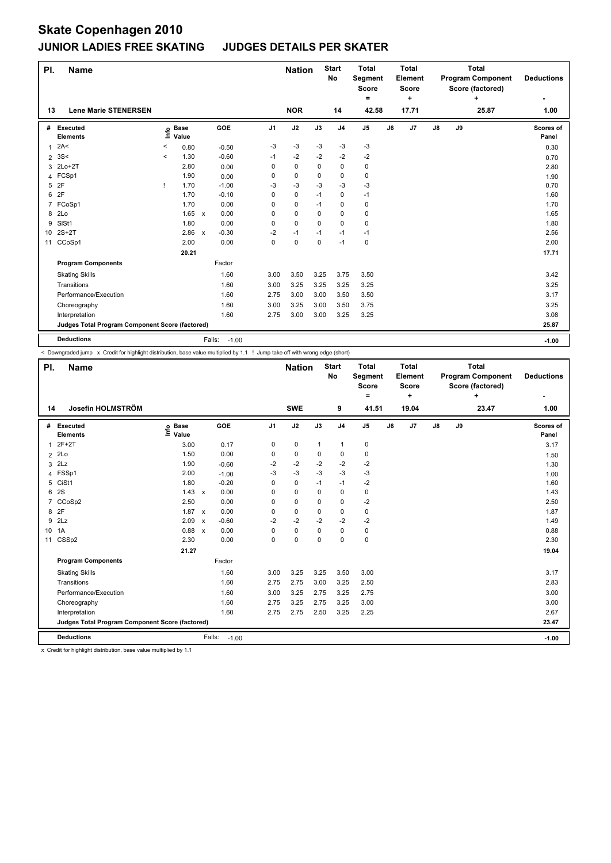| PI. | <b>Name</b>                                     |         |                            |              |                   |                | <b>Nation</b> |             | <b>Start</b><br>No | <b>Total</b><br>Segment<br><b>Score</b><br>Ξ. |    | <b>Total</b><br>Element<br><b>Score</b><br>٠ |    |    | <b>Total</b><br><b>Program Component</b><br>Score (factored)<br>÷ | <b>Deductions</b>  |
|-----|-------------------------------------------------|---------|----------------------------|--------------|-------------------|----------------|---------------|-------------|--------------------|-----------------------------------------------|----|----------------------------------------------|----|----|-------------------------------------------------------------------|--------------------|
| 13  | <b>Lene Marie STENERSEN</b>                     |         |                            |              |                   |                | <b>NOR</b>    |             | 14                 | 42.58                                         |    | 17.71                                        |    |    | 25.87                                                             | 1.00               |
| #   | Executed<br><b>Elements</b>                     |         | e Base<br>E Value<br>Value |              | GOE               | J <sub>1</sub> | J2            | J3          | J <sub>4</sub>     | J <sub>5</sub>                                | J6 | J7                                           | J8 | J9 |                                                                   | Scores of<br>Panel |
| 1   | 2A<                                             | $\,<\,$ | 0.80                       |              | $-0.50$           | $-3$           | $-3$          | $-3$        | $-3$               | -3                                            |    |                                              |    |    |                                                                   | 0.30               |
|     | $2 \, 3S <$                                     | $\prec$ | 1.30                       |              | $-0.60$           | $-1$           | $-2$          | $-2$        | $-2$               | -2                                            |    |                                              |    |    |                                                                   | 0.70               |
|     | 3 2Lo+2T                                        |         | 2.80                       |              | 0.00              | 0              | 0             | 0           | 0                  | 0                                             |    |                                              |    |    |                                                                   | 2.80               |
|     | 4 FCSp1                                         |         | 1.90                       |              | 0.00              | 0              | $\mathbf 0$   | 0           | 0                  | 0                                             |    |                                              |    |    |                                                                   | 1.90               |
| 5   | 2F                                              | -1      | 1.70                       |              | $-1.00$           | $-3$           | $-3$          | $-3$        | $-3$               | $-3$                                          |    |                                              |    |    |                                                                   | 0.70               |
| 6   | 2F                                              |         | 1.70                       |              | $-0.10$           | 0              | $\mathbf 0$   | $-1$        | 0                  | $-1$                                          |    |                                              |    |    |                                                                   | 1.60               |
| 7   | FCoSp1                                          |         | 1.70                       |              | 0.00              | 0              | $\mathbf 0$   | $-1$        | 0                  | 0                                             |    |                                              |    |    |                                                                   | 1.70               |
| 8   | 2Lo                                             |         | 1.65                       | $\mathbf{x}$ | 0.00              | 0              | $\mathbf 0$   | $\Omega$    | $\mathbf 0$        | $\pmb{0}$                                     |    |                                              |    |    |                                                                   | 1.65               |
| 9   | SISt1                                           |         | 1.80                       |              | 0.00              | 0              | $\mathbf 0$   | 0           | $\mathbf 0$        | $\pmb{0}$                                     |    |                                              |    |    |                                                                   | 1.80               |
|     | 10 2S+2T                                        |         | 2.86 x                     |              | $-0.30$           | $-2$           | $-1$          | $-1$        | $-1$               | $-1$                                          |    |                                              |    |    |                                                                   | 2.56               |
| 11  | CCoSp1                                          |         | 2.00                       |              | 0.00              | 0              | $\pmb{0}$     | $\mathbf 0$ | $-1$               | $\pmb{0}$                                     |    |                                              |    |    |                                                                   | 2.00               |
|     |                                                 |         | 20.21                      |              |                   |                |               |             |                    |                                               |    |                                              |    |    |                                                                   | 17.71              |
|     | <b>Program Components</b>                       |         |                            |              | Factor            |                |               |             |                    |                                               |    |                                              |    |    |                                                                   |                    |
|     | <b>Skating Skills</b>                           |         |                            |              | 1.60              | 3.00           | 3.50          | 3.25        | 3.75               | 3.50                                          |    |                                              |    |    |                                                                   | 3.42               |
|     | Transitions                                     |         |                            |              | 1.60              | 3.00           | 3.25          | 3.25        | 3.25               | 3.25                                          |    |                                              |    |    |                                                                   | 3.25               |
|     | Performance/Execution                           |         |                            |              | 1.60              | 2.75           | 3.00          | 3.00        | 3.50               | 3.50                                          |    |                                              |    |    |                                                                   | 3.17               |
|     | Choreography                                    |         |                            |              | 1.60              | 3.00           | 3.25          | 3.00        | 3.50               | 3.75                                          |    |                                              |    |    |                                                                   | 3.25               |
|     | Interpretation                                  |         |                            |              | 1.60              | 2.75           | 3.00          | 3.00        | 3.25               | 3.25                                          |    |                                              |    |    |                                                                   | 3.08               |
|     | Judges Total Program Component Score (factored) |         |                            |              |                   |                |               |             |                    |                                               |    |                                              |    |    |                                                                   | 25.87              |
|     | <b>Deductions</b>                               |         |                            |              | Falls:<br>$-1.00$ |                |               |             |                    |                                               |    |                                              |    |    |                                                                   | $-1.00$            |

< Downgraded jump x Credit for highlight distribution, base value multiplied by 1.1 ! Jump take off with wrong edge (short)

| PI.             | <b>Name</b>                                     |                            |              |         |                | <b>Nation</b> |              | <b>Start</b><br><b>No</b> | <b>Total</b><br>Segment<br><b>Score</b><br>$=$ |    | <b>Total</b><br>Element<br><b>Score</b><br>÷ |            |    | <b>Total</b><br><b>Program Component</b><br>Score (factored)<br>÷ | <b>Deductions</b>  |
|-----------------|-------------------------------------------------|----------------------------|--------------|---------|----------------|---------------|--------------|---------------------------|------------------------------------------------|----|----------------------------------------------|------------|----|-------------------------------------------------------------------|--------------------|
| 14              | Josefin HOLMSTRÖM                               |                            |              |         |                | <b>SWE</b>    |              | 9                         | 41.51                                          |    | 19.04                                        |            |    | 23.47                                                             | 1.00               |
| #               | Executed<br><b>Elements</b>                     | e Base<br>E Value<br>Value | <b>GOE</b>   |         | J <sub>1</sub> | J2            | J3           | J <sub>4</sub>            | J <sub>5</sub>                                 | J6 | J7                                           | ${\sf J8}$ | J9 |                                                                   | Scores of<br>Panel |
| 1               | $2F+2T$                                         | 3.00                       |              | 0.17    | 0              | 0             | $\mathbf{1}$ | $\mathbf{1}$              | 0                                              |    |                                              |            |    |                                                                   | 3.17               |
| $\overline{2}$  | 2Lo                                             | 1.50                       |              | 0.00    | 0              | 0             | 0            | 0                         | 0                                              |    |                                              |            |    |                                                                   | 1.50               |
| 3               | 2Lz                                             | 1.90                       |              | $-0.60$ | $-2$           | $-2$          | $-2$         | $-2$                      | $-2$                                           |    |                                              |            |    |                                                                   | 1.30               |
| 4               | FSSp1                                           | 2.00                       |              | $-1.00$ | $-3$           | $-3$          | $-3$         | $-3$                      | $-3$                                           |    |                                              |            |    |                                                                   | 1.00               |
| 5               | CiSt1                                           | 1.80                       |              | $-0.20$ | 0              | $\mathbf 0$   | $-1$         | $-1$                      | $-2$                                           |    |                                              |            |    |                                                                   | 1.60               |
| 6               | 2S                                              | 1.43                       | $\mathsf{x}$ | 0.00    | 0              | $\pmb{0}$     | $\Omega$     | $\mathbf 0$               | 0                                              |    |                                              |            |    |                                                                   | 1.43               |
| $\overline{7}$  | CCoSp2                                          | 2.50                       |              | 0.00    | $\Omega$       | $\mathbf 0$   | 0            | $\Omega$                  | $-2$                                           |    |                                              |            |    |                                                                   | 2.50               |
| 8               | 2F                                              | 1.87                       | $\mathsf{x}$ | 0.00    | 0              | $\pmb{0}$     | 0            | $\mathbf 0$               | 0                                              |    |                                              |            |    |                                                                   | 1.87               |
| 9               | 2Lz                                             | 2.09                       | $\mathsf{x}$ | $-0.60$ | $-2$           | $-2$          | $-2$         | $-2$                      | $-2$                                           |    |                                              |            |    |                                                                   | 1.49               |
| 10 <sup>°</sup> | 1A                                              | 0.88                       | $\mathsf{x}$ | 0.00    | $\Omega$       | 0             | 0            | $\mathbf 0$               | 0                                              |    |                                              |            |    |                                                                   | 0.88               |
| 11              | CSSp2                                           | 2.30                       |              | 0.00    | 0              | $\mathbf 0$   | $\Omega$     | $\Omega$                  | 0                                              |    |                                              |            |    |                                                                   | 2.30               |
|                 |                                                 | 21.27                      |              |         |                |               |              |                           |                                                |    |                                              |            |    |                                                                   | 19.04              |
|                 | <b>Program Components</b>                       |                            | Factor       |         |                |               |              |                           |                                                |    |                                              |            |    |                                                                   |                    |
|                 | <b>Skating Skills</b>                           |                            |              | 1.60    | 3.00           | 3.25          | 3.25         | 3.50                      | 3.00                                           |    |                                              |            |    |                                                                   | 3.17               |
|                 | Transitions                                     |                            |              | 1.60    | 2.75           | 2.75          | 3.00         | 3.25                      | 2.50                                           |    |                                              |            |    |                                                                   | 2.83               |
|                 | Performance/Execution                           |                            |              | 1.60    | 3.00           | 3.25          | 2.75         | 3.25                      | 2.75                                           |    |                                              |            |    |                                                                   | 3.00               |
|                 | Choreography                                    |                            |              | 1.60    | 2.75           | 3.25          | 2.75         | 3.25                      | 3.00                                           |    |                                              |            |    |                                                                   | 3.00               |
|                 | Interpretation                                  |                            |              | 1.60    | 2.75           | 2.75          | 2.50         | 3.25                      | 2.25                                           |    |                                              |            |    |                                                                   | 2.67               |
|                 | Judges Total Program Component Score (factored) |                            |              |         |                |               |              |                           |                                                |    |                                              |            |    |                                                                   | 23.47              |
|                 | <b>Deductions</b>                               |                            | Falls:       | $-1.00$ |                |               |              |                           |                                                |    |                                              |            |    |                                                                   | $-1.00$            |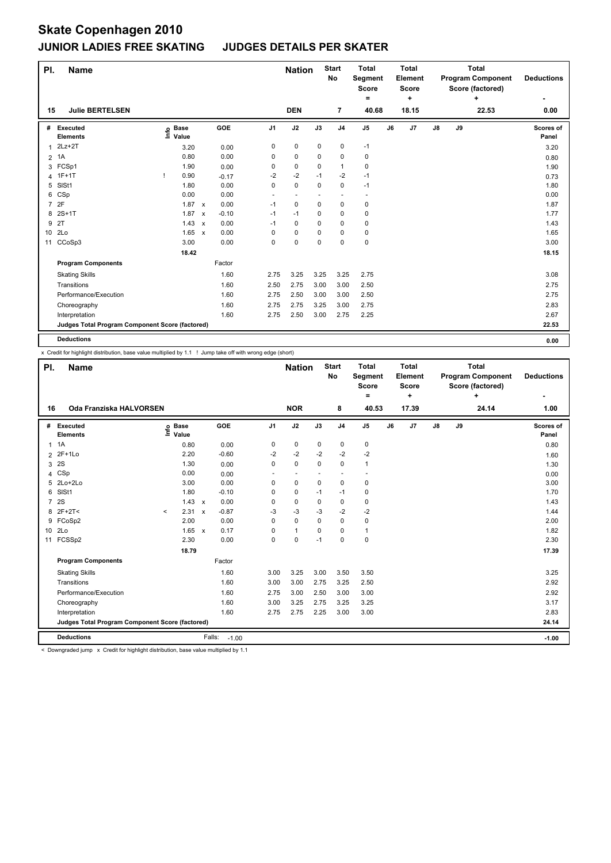| PI.            | <b>Name</b>                                     |                            |                           |         |                | <b>Nation</b> |             | <b>Start</b><br>No | <b>Total</b><br>Segment<br><b>Score</b><br>٠ |    | <b>Total</b><br>Element<br><b>Score</b><br>÷ |               |    | <b>Total</b><br><b>Program Component</b><br>Score (factored)<br>٠ | <b>Deductions</b>  |
|----------------|-------------------------------------------------|----------------------------|---------------------------|---------|----------------|---------------|-------------|--------------------|----------------------------------------------|----|----------------------------------------------|---------------|----|-------------------------------------------------------------------|--------------------|
| 15             | <b>Julie BERTELSEN</b>                          |                            |                           |         |                | <b>DEN</b>    |             | 7                  | 40.68                                        |    | 18.15                                        |               |    | 22.53                                                             | 0.00               |
| #              | Executed<br><b>Elements</b>                     | e Base<br>E Value<br>Value |                           | GOE     | J <sub>1</sub> | J2            | J3          | J <sub>4</sub>     | J <sub>5</sub>                               | J6 | J <sub>7</sub>                               | $\mathsf{J}8$ | J9 |                                                                   | Scores of<br>Panel |
| 1              | $2Lz+2T$                                        | 3.20                       |                           | 0.00    | 0              | $\pmb{0}$     | $\mathbf 0$ | 0                  | $-1$                                         |    |                                              |               |    |                                                                   | 3.20               |
| $\overline{2}$ | 1A                                              | 0.80                       |                           | 0.00    | 0              | 0             | 0           | 0                  | 0                                            |    |                                              |               |    |                                                                   | 0.80               |
|                | 3 FCSp1                                         | 1.90                       |                           | 0.00    | 0              | 0             | 0           | 1                  | 0                                            |    |                                              |               |    |                                                                   | 1.90               |
|                | 4 1F+1T                                         | 0.90                       |                           | $-0.17$ | $-2$           | $-2$          | $-1$        | $-2$               | $-1$                                         |    |                                              |               |    |                                                                   | 0.73               |
| 5              | SISt1                                           | 1.80                       |                           | 0.00    | 0              | 0             | 0           | 0                  | $-1$                                         |    |                                              |               |    |                                                                   | 1.80               |
|                | 6 CSp                                           | 0.00                       |                           | 0.00    | $\sim$         |               |             |                    | -                                            |    |                                              |               |    |                                                                   | 0.00               |
| $\overline{7}$ | 2F                                              | $1.87 \times$              |                           | 0.00    | $-1$           | 0             | 0           | 0                  | $\pmb{0}$                                    |    |                                              |               |    |                                                                   | 1.87               |
|                | 8 2S+1T                                         | 1.87                       | $\mathsf{x}$              | $-0.10$ | $-1$           | $-1$          | 0           | 0                  | 0                                            |    |                                              |               |    |                                                                   | 1.77               |
| 9              | 2T                                              | 1.43                       | $\mathsf{x}$              | 0.00    | $-1$           | 0             | 0           | 0                  | 0                                            |    |                                              |               |    |                                                                   | 1.43               |
|                | 10 2Lo                                          | 1.65                       | $\boldsymbol{\mathsf{x}}$ | 0.00    | 0              | 0             | 0           | 0                  | 0                                            |    |                                              |               |    |                                                                   | 1.65               |
| 11             | CCoSp3                                          | 3.00                       |                           | 0.00    | 0              | 0             | 0           | 0                  | $\mathbf 0$                                  |    |                                              |               |    |                                                                   | 3.00               |
|                |                                                 | 18.42                      |                           |         |                |               |             |                    |                                              |    |                                              |               |    |                                                                   | 18.15              |
|                | <b>Program Components</b>                       |                            |                           | Factor  |                |               |             |                    |                                              |    |                                              |               |    |                                                                   |                    |
|                | <b>Skating Skills</b>                           |                            |                           | 1.60    | 2.75           | 3.25          | 3.25        | 3.25               | 2.75                                         |    |                                              |               |    |                                                                   | 3.08               |
|                | Transitions                                     |                            |                           | 1.60    | 2.50           | 2.75          | 3.00        | 3.00               | 2.50                                         |    |                                              |               |    |                                                                   | 2.75               |
|                | Performance/Execution                           |                            |                           | 1.60    | 2.75           | 2.50          | 3.00        | 3.00               | 2.50                                         |    |                                              |               |    |                                                                   | 2.75               |
|                | Choreography                                    |                            |                           | 1.60    | 2.75           | 2.75          | 3.25        | 3.00               | 2.75                                         |    |                                              |               |    |                                                                   | 2.83               |
|                | Interpretation                                  |                            |                           | 1.60    | 2.75           | 2.50          | 3.00        | 2.75               | 2.25                                         |    |                                              |               |    |                                                                   | 2.67               |
|                | Judges Total Program Component Score (factored) |                            |                           |         |                |               |             |                    |                                              |    |                                              |               |    |                                                                   | 22.53              |
|                | <b>Deductions</b>                               |                            |                           |         |                |               |             |                    |                                              |    |                                              |               |    |                                                                   | 0.00               |

x Credit for highlight distribution, base value multiplied by 1.1 ! Jump take off with wrong edge (short)

| PI.             | <b>Name</b>                                     |         |                      |              |         | <b>Nation</b>  |              | <b>Start</b><br><b>No</b> | <b>Total</b><br><b>Segment</b><br><b>Score</b><br>۰ |                | <b>Total</b><br>Element<br><b>Score</b><br>÷ |       |    | <b>Total</b><br><b>Program Component</b><br>Score (factored)<br>٠ | <b>Deductions</b> |                    |
|-----------------|-------------------------------------------------|---------|----------------------|--------------|---------|----------------|--------------|---------------------------|-----------------------------------------------------|----------------|----------------------------------------------|-------|----|-------------------------------------------------------------------|-------------------|--------------------|
| 16              | Oda Franziska HALVORSEN                         |         |                      |              |         |                | <b>NOR</b>   |                           | 8                                                   | 40.53          |                                              | 17.39 |    |                                                                   | 24.14             | 1.00               |
| #               | Executed<br><b>Elements</b>                     | ۴ů      | <b>Base</b><br>Value |              | GOE     | J <sub>1</sub> | J2           | J3                        | J <sub>4</sub>                                      | J <sub>5</sub> | J6                                           | J7    | J8 | J9                                                                |                   | Scores of<br>Panel |
| 1               | 1A                                              |         | 0.80                 |              | 0.00    | 0              | 0            | 0                         | 0                                                   | 0              |                                              |       |    |                                                                   |                   | 0.80               |
|                 | 2 2F+1Lo                                        |         | 2.20                 |              | $-0.60$ | $-2$           | $-2$         | $-2$                      | $-2$                                                | $-2$           |                                              |       |    |                                                                   |                   | 1.60               |
| 3               | 2S                                              |         | 1.30                 |              | 0.00    | $\Omega$       | $\Omega$     | 0                         | $\Omega$                                            | 1              |                                              |       |    |                                                                   |                   | 1.30               |
| 4               | CSp                                             |         | 0.00                 |              | 0.00    |                | ٠            |                           | $\overline{\phantom{a}}$                            |                |                                              |       |    |                                                                   |                   | 0.00               |
| 5               | 2Lo+2Lo                                         |         | 3.00                 |              | 0.00    | $\mathbf 0$    | 0            | 0                         | $\mathbf 0$                                         | 0              |                                              |       |    |                                                                   |                   | 3.00               |
| 6               | SISt1                                           |         | 1.80                 |              | $-0.10$ | 0              | 0            | $-1$                      | $-1$                                                | 0              |                                              |       |    |                                                                   |                   | 1.70               |
| $\overline{7}$  | 2S                                              |         | 1.43                 | $\mathsf{x}$ | 0.00    | 0              | 0            | 0                         | $\mathbf 0$                                         | 0              |                                              |       |    |                                                                   |                   | 1.43               |
| 8               | $2F+2T<$                                        | $\prec$ | 2.31                 | $\mathsf{x}$ | $-0.87$ | -3             | -3           | $-3$                      | $-2$                                                | $-2$           |                                              |       |    |                                                                   |                   | 1.44               |
| 9               | FCoSp2                                          |         | 2.00                 |              | 0.00    | 0              | $\mathbf 0$  | $\mathbf 0$               | $\mathbf 0$                                         | 0              |                                              |       |    |                                                                   |                   | 2.00               |
| 10 <sup>1</sup> | 2 <sub>LO</sub>                                 |         | $1.65 \times$        |              | 0.17    | 0              | $\mathbf{1}$ | 0                         | 0                                                   | 1              |                                              |       |    |                                                                   |                   | 1.82               |
| 11              | FCSSp2                                          |         | 2.30                 |              | 0.00    | 0              | 0            | $-1$                      | $\mathbf 0$                                         | 0              |                                              |       |    |                                                                   |                   | 2.30               |
|                 |                                                 |         | 18.79                |              |         |                |              |                           |                                                     |                |                                              |       |    |                                                                   |                   | 17.39              |
|                 | <b>Program Components</b>                       |         |                      |              | Factor  |                |              |                           |                                                     |                |                                              |       |    |                                                                   |                   |                    |
|                 | <b>Skating Skills</b>                           |         |                      |              | 1.60    | 3.00           | 3.25         | 3.00                      | 3.50                                                | 3.50           |                                              |       |    |                                                                   |                   | 3.25               |
|                 | Transitions                                     |         |                      |              | 1.60    | 3.00           | 3.00         | 2.75                      | 3.25                                                | 2.50           |                                              |       |    |                                                                   |                   | 2.92               |
|                 | Performance/Execution                           |         |                      |              | 1.60    | 2.75           | 3.00         | 2.50                      | 3.00                                                | 3.00           |                                              |       |    |                                                                   |                   | 2.92               |
|                 | Choreography                                    |         |                      |              | 1.60    | 3.00           | 3.25         | 2.75                      | 3.25                                                | 3.25           |                                              |       |    |                                                                   |                   | 3.17               |
|                 | Interpretation                                  |         |                      |              | 1.60    | 2.75           | 2.75         | 2.25                      | 3.00                                                | 3.00           |                                              |       |    |                                                                   |                   | 2.83               |
|                 | Judges Total Program Component Score (factored) |         |                      |              |         |                |              |                           |                                                     |                |                                              |       |    |                                                                   |                   | 24.14              |
|                 | <b>Deductions</b>                               |         |                      | Falls:       | $-1.00$ |                |              |                           |                                                     |                |                                              |       |    |                                                                   |                   | $-1.00$            |

< Downgraded jump x Credit for highlight distribution, base value multiplied by 1.1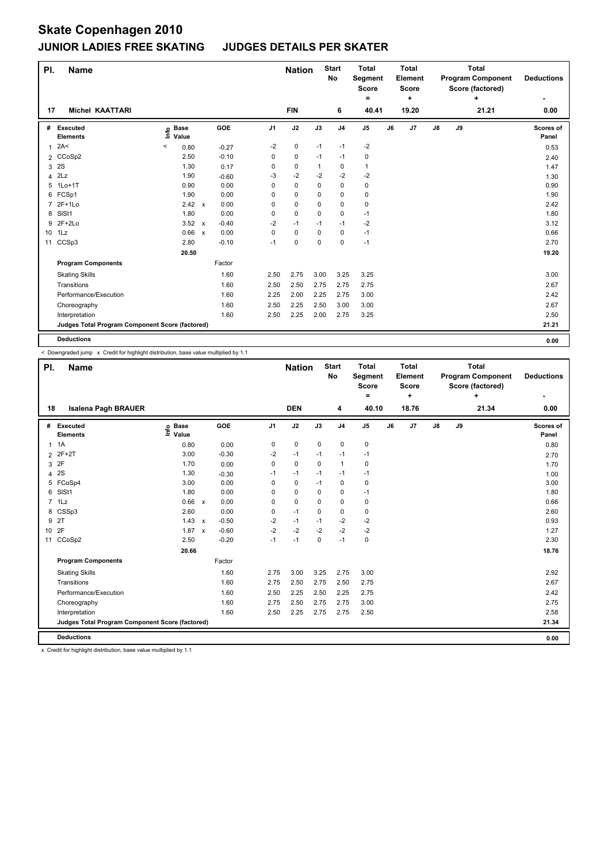| PI.             | <b>Name</b>                                     |         |                            |              |         |                | <b>Nation</b> |      | <b>Start</b><br>No | <b>Total</b><br>Segment<br>Score<br>Ξ. |    | <b>Total</b><br>Element<br><b>Score</b><br>÷ |               |    | <b>Total</b><br><b>Program Component</b><br>Score (factored)<br>٠ | <b>Deductions</b>  |
|-----------------|-------------------------------------------------|---------|----------------------------|--------------|---------|----------------|---------------|------|--------------------|----------------------------------------|----|----------------------------------------------|---------------|----|-------------------------------------------------------------------|--------------------|
| 17              | <b>Michel KAATTARI</b>                          |         |                            |              |         |                | <b>FIN</b>    |      | 6                  | 40.41                                  |    | 19.20                                        |               |    | 21.21                                                             | 0.00               |
| #               | Executed<br><b>Elements</b>                     |         | e Base<br>⊑ Value<br>Value |              | GOE     | J <sub>1</sub> | J2            | J3   | J <sub>4</sub>     | J <sub>5</sub>                         | J6 | J7                                           | $\mathsf{J}8$ | J9 |                                                                   | Scores of<br>Panel |
| 1               | 2A<                                             | $\,<\,$ | 0.80                       |              | $-0.27$ | $-2$           | 0             | $-1$ | $-1$               | $-2$                                   |    |                                              |               |    |                                                                   | 0.53               |
|                 | 2 CCoSp2                                        |         | 2.50                       |              | $-0.10$ | 0              | 0             | $-1$ | $-1$               | 0                                      |    |                                              |               |    |                                                                   | 2.40               |
| 3               | 2S                                              |         | 1.30                       |              | 0.17    | 0              | 0             | 1    | 0                  | $\mathbf{1}$                           |    |                                              |               |    |                                                                   | 1.47               |
|                 | $4$ $2Lz$                                       |         | 1.90                       |              | $-0.60$ | -3             | $-2$          | $-2$ | $-2$               | $-2$                                   |    |                                              |               |    |                                                                   | 1.30               |
|                 | 5 1Lo+1T                                        |         | 0.90                       |              | 0.00    | 0              | 0             | 0    | 0                  | 0                                      |    |                                              |               |    |                                                                   | 0.90               |
|                 | 6 FCSp1                                         |         | 1.90                       |              | 0.00    | 0              | 0             | 0    | 0                  | 0                                      |    |                                              |               |    |                                                                   | 1.90               |
| $\overline{7}$  | $2F+1Lo$                                        |         | $2.42 \times$              |              | 0.00    | 0              | 0             | 0    | 0                  | 0                                      |    |                                              |               |    |                                                                   | 2.42               |
|                 | 8 SISt1                                         |         | 1.80                       |              | 0.00    | 0              | 0             | 0    | 0                  | $-1$                                   |    |                                              |               |    |                                                                   | 1.80               |
|                 | 9 2F+2Lo                                        |         | 3.52                       | $\mathsf{x}$ | $-0.40$ | $-2$           | $-1$          | $-1$ | $-1$               | -2                                     |    |                                              |               |    |                                                                   | 3.12               |
| 10 <sup>1</sup> | 1Lz                                             |         | 0.66                       | $\mathbf{x}$ | 0.00    | $\Omega$       | 0             | 0    | 0                  | $-1$                                   |    |                                              |               |    |                                                                   | 0.66               |
| 11              | CCSp3                                           |         | 2.80                       |              | $-0.10$ | $-1$           | 0             | 0    | 0                  | $-1$                                   |    |                                              |               |    |                                                                   | 2.70               |
|                 |                                                 |         | 20.50                      |              |         |                |               |      |                    |                                        |    |                                              |               |    |                                                                   | 19.20              |
|                 | <b>Program Components</b>                       |         |                            |              | Factor  |                |               |      |                    |                                        |    |                                              |               |    |                                                                   |                    |
|                 | <b>Skating Skills</b>                           |         |                            |              | 1.60    | 2.50           | 2.75          | 3.00 | 3.25               | 3.25                                   |    |                                              |               |    |                                                                   | 3.00               |
|                 | Transitions                                     |         |                            |              | 1.60    | 2.50           | 2.50          | 2.75 | 2.75               | 2.75                                   |    |                                              |               |    |                                                                   | 2.67               |
|                 | Performance/Execution                           |         |                            |              | 1.60    | 2.25           | 2.00          | 2.25 | 2.75               | 3.00                                   |    |                                              |               |    |                                                                   | 2.42               |
|                 | Choreography                                    |         |                            |              | 1.60    | 2.50           | 2.25          | 2.50 | 3.00               | 3.00                                   |    |                                              |               |    |                                                                   | 2.67               |
|                 | Interpretation                                  |         |                            |              | 1.60    | 2.50           | 2.25          | 2.00 | 2.75               | 3.25                                   |    |                                              |               |    |                                                                   | 2.50               |
|                 | Judges Total Program Component Score (factored) |         |                            |              |         |                |               |      |                    |                                        |    |                                              |               |    |                                                                   | 21.21              |
|                 | <b>Deductions</b>                               |         |                            |              |         |                |               |      |                    |                                        |    |                                              |               |    |                                                                   | 0.00               |

< Downgraded jump x Credit for highlight distribution, base value multiplied by 1.1

| PI.          | <b>Name</b>                                     |                            |              |         |                | <b>Nation</b> |             | <b>Start</b><br>No | <b>Total</b><br>Segment<br><b>Score</b><br>٠ |    | <b>Total</b><br>Element<br><b>Score</b><br>٠ |               |    | <b>Total</b><br><b>Program Component</b><br>Score (factored)<br>٠ | <b>Deductions</b>  |
|--------------|-------------------------------------------------|----------------------------|--------------|---------|----------------|---------------|-------------|--------------------|----------------------------------------------|----|----------------------------------------------|---------------|----|-------------------------------------------------------------------|--------------------|
| 18           | <b>Isalena Pagh BRAUER</b>                      |                            |              |         |                | <b>DEN</b>    |             | 4                  | 40.10                                        |    | 18.76                                        |               |    | 21.34                                                             | 0.00               |
| #            | Executed<br><b>Elements</b>                     | e Base<br>E Value<br>Value |              | GOE     | J <sub>1</sub> | J2            | J3          | J <sub>4</sub>     | J <sub>5</sub>                               | J6 | J7                                           | $\mathsf{J}8$ | J9 |                                                                   | Scores of<br>Panel |
| $\mathbf{1}$ | 1A                                              | 0.80                       |              | 0.00    | 0              | 0             | 0           | 0                  | 0                                            |    |                                              |               |    |                                                                   | 0.80               |
|              | 2 2F+2T                                         | 3.00                       |              | $-0.30$ | $-2$           | $-1$          | $-1$        | $-1$               | $-1$                                         |    |                                              |               |    |                                                                   | 2.70               |
| 3            | 2F                                              | 1.70                       |              | 0.00    | $\Omega$       | $\Omega$      | $\Omega$    | $\mathbf{1}$       | 0                                            |    |                                              |               |    |                                                                   | 1.70               |
| 4            | 2S                                              | 1.30                       |              | $-0.30$ | $-1$           | $-1$          | $-1$        | $-1$               | $-1$                                         |    |                                              |               |    |                                                                   | 1.00               |
| 5            | FCoSp4                                          | 3.00                       |              | 0.00    | 0              | 0             | $-1$        | $\pmb{0}$          | 0                                            |    |                                              |               |    |                                                                   | 3.00               |
| 6            | SISt1                                           | 1.80                       |              | 0.00    | $\Omega$       | $\pmb{0}$     | 0           | 0                  | $-1$                                         |    |                                              |               |    |                                                                   | 1.80               |
| $7^{\circ}$  | 1 <sub>L</sub> z                                | 0.66                       | $\mathsf{x}$ | 0.00    | $\Omega$       | $\mathbf 0$   | 0           | $\mathbf 0$        | 0                                            |    |                                              |               |    |                                                                   | 0.66               |
| 8            | CSSp3                                           | 2.60                       |              | 0.00    | 0              | $-1$          | $\mathbf 0$ | $\mathbf 0$        | 0                                            |    |                                              |               |    |                                                                   | 2.60               |
| 9            | 2T                                              | 1.43                       | $\mathsf{x}$ | $-0.50$ | $-2$           | $-1$          | $-1$        | $-2$               | $-2$                                         |    |                                              |               |    |                                                                   | 0.93               |
| 10           | 2F                                              | 1.87                       | $\mathsf{x}$ | $-0.60$ | $-2$           | $-2$          | $-2$        | $-2$               | $-2$                                         |    |                                              |               |    |                                                                   | 1.27               |
|              | 11 CCoSp2                                       | 2.50                       |              | $-0.20$ | $-1$           | $-1$          | 0           | $-1$               | $\mathsf 0$                                  |    |                                              |               |    |                                                                   | 2.30               |
|              |                                                 | 20.66                      |              |         |                |               |             |                    |                                              |    |                                              |               |    |                                                                   | 18.76              |
|              | <b>Program Components</b>                       |                            |              | Factor  |                |               |             |                    |                                              |    |                                              |               |    |                                                                   |                    |
|              | <b>Skating Skills</b>                           |                            |              | 1.60    | 2.75           | 3.00          | 3.25        | 2.75               | 3.00                                         |    |                                              |               |    |                                                                   | 2.92               |
|              | Transitions                                     |                            |              | 1.60    | 2.75           | 2.50          | 2.75        | 2.50               | 2.75                                         |    |                                              |               |    |                                                                   | 2.67               |
|              | Performance/Execution                           |                            |              | 1.60    | 2.50           | 2.25          | 2.50        | 2.25               | 2.75                                         |    |                                              |               |    |                                                                   | 2.42               |
|              | Choreography                                    |                            |              | 1.60    | 2.75           | 2.50          | 2.75        | 2.75               | 3.00                                         |    |                                              |               |    |                                                                   | 2.75               |
|              | Interpretation                                  |                            |              | 1.60    | 2.50           | 2.25          | 2.75        | 2.75               | 2.50                                         |    |                                              |               |    |                                                                   | 2.58               |
|              | Judges Total Program Component Score (factored) |                            |              |         |                |               |             |                    |                                              |    |                                              |               |    |                                                                   | 21.34              |
|              | <b>Deductions</b>                               |                            |              |         |                |               |             |                    |                                              |    |                                              |               |    |                                                                   | 0.00               |